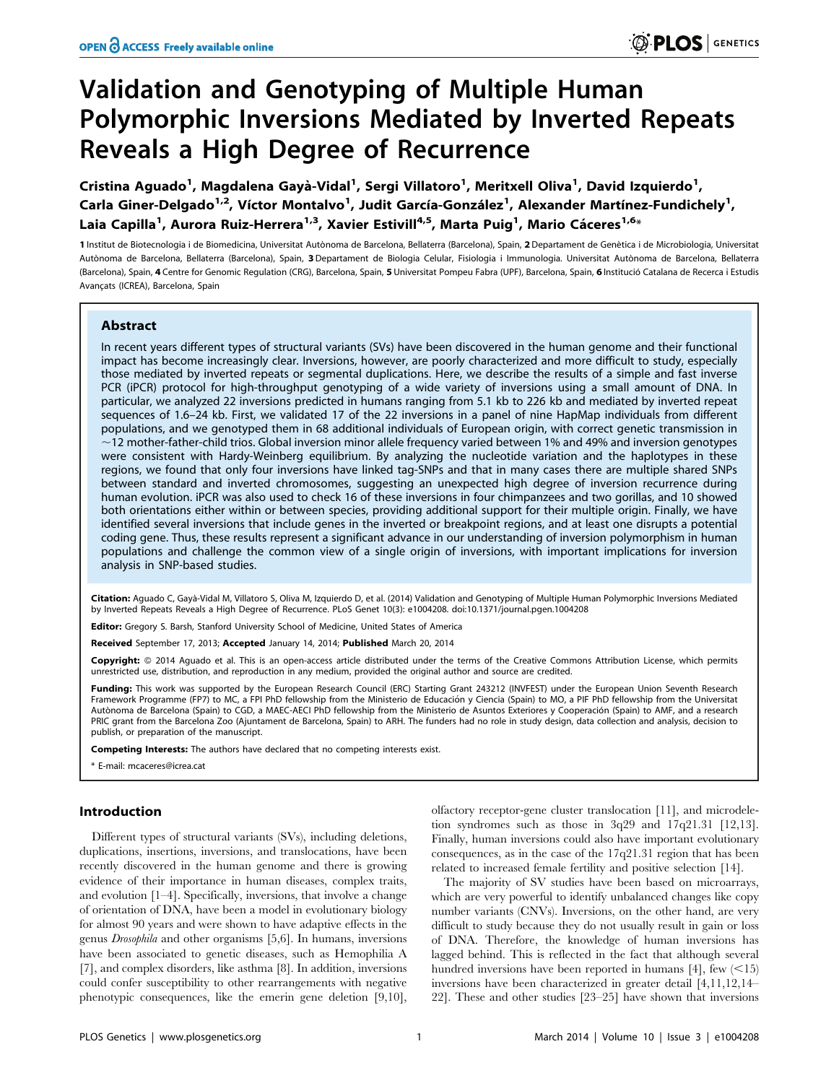# Validation and Genotyping of Multiple Human Polymorphic Inversions Mediated by Inverted Repeats Reveals a High Degree of Recurrence

Cristina Aguado<sup>1</sup>, Magdalena Gayà-Vidal<sup>1</sup>, Sergi Villatoro<sup>1</sup>, Meritxell Oliva<sup>1</sup>, David Izquierdo<sup>1</sup>, Carla Giner-Delgado<sup>1,2</sup>, Víctor Montalvo<sup>1</sup>, Judit García-González<sup>1</sup>, Alexander Martínez-Fundichely<sup>1</sup>, Laia Capilla<sup>1</sup>, Aurora Ruiz-Herrera<sup>1,3</sup>, Xavier Estivill<sup>4,5</sup>, Marta Puig<sup>1</sup>, Mario Cáceres<sup>1,6</sup>\*

1 Institut de Biotecnologia i de Biomedicina, Universitat Autònoma de Barcelona, Bellaterra (Barcelona), Spain, 2 Departament de Genètica i de Microbiologia, Universitat Autònoma de Barcelona, Bellaterra (Barcelona), Spain, 3 Departament de Biologia Celular, Fisiologia i Immunologia. Universitat Autònoma de Barcelona, Bellaterra (Barcelona), Spain, 4 Centre for Genomic Regulation (CRG), Barcelona, Spain, 5 Universitat Pompeu Fabra (UPF), Barcelona, Spain, 6 Institució Catalana de Recerca i Estudis Avancats (ICREA), Barcelona, Spain

# Abstract

In recent years different types of structural variants (SVs) have been discovered in the human genome and their functional impact has become increasingly clear. Inversions, however, are poorly characterized and more difficult to study, especially those mediated by inverted repeats or segmental duplications. Here, we describe the results of a simple and fast inverse PCR (iPCR) protocol for high-throughput genotyping of a wide variety of inversions using a small amount of DNA. In particular, we analyzed 22 inversions predicted in humans ranging from 5.1 kb to 226 kb and mediated by inverted repeat sequences of 1.6–24 kb. First, we validated 17 of the 22 inversions in a panel of nine HapMap individuals from different populations, and we genotyped them in 68 additional individuals of European origin, with correct genetic transmission in  $\sim$ 12 mother-father-child trios. Global inversion minor allele frequency varied between 1% and 49% and inversion genotypes were consistent with Hardy-Weinberg equilibrium. By analyzing the nucleotide variation and the haplotypes in these regions, we found that only four inversions have linked tag-SNPs and that in many cases there are multiple shared SNPs between standard and inverted chromosomes, suggesting an unexpected high degree of inversion recurrence during human evolution. iPCR was also used to check 16 of these inversions in four chimpanzees and two gorillas, and 10 showed both orientations either within or between species, providing additional support for their multiple origin. Finally, we have identified several inversions that include genes in the inverted or breakpoint regions, and at least one disrupts a potential coding gene. Thus, these results represent a significant advance in our understanding of inversion polymorphism in human populations and challenge the common view of a single origin of inversions, with important implications for inversion analysis in SNP-based studies.

Citation: Aguado C, Gayà-Vidal M, Villatoro S, Oliva M, Izquierdo D, et al. (2014) Validation and Genotyping of Multiple Human Polymorphic Inversions Mediated by Inverted Repeats Reveals a High Degree of Recurrence. PLoS Genet 10(3): e1004208. doi:10.1371/journal.pgen.1004208

Editor: Gregory S. Barsh, Stanford University School of Medicine, United States of America

Received September 17, 2013; Accepted January 14, 2014; Published March 20, 2014

Copyright: © 2014 Aguado et al. This is an open-access article distributed under the terms of the [Creative Commons Attribution License,](http://creativecommons.org/licenses/by/4.0/) which permits unrestricted use, distribution, and reproduction in any medium, provided the original author and source are credited.

Funding: This work was supported by the European Research Council (ERC) Starting Grant 243212 (INVFEST) under the European Union Seventh Research Framework Programme (FP7) to MC, a FPI PhD fellowship from the Ministerio de Educación y Ciencia (Spain) to MO, a PIF PhD fellowship from the Universitat Autònoma de Barcelona (Spain) to CGD, a MAEC-AECI PhD fellowship from the Ministerio de Asuntos Exteriores y Cooperación (Spain) to AMF, and a research PRIC grant from the Barcelona Zoo (Ajuntament de Barcelona, Spain) to ARH. The funders had no role in study design, data collection and analysis, decision to publish, or preparation of the manuscript.

Competing Interests: The authors have declared that no competing interests exist.

\* E-mail: mcaceres@icrea.cat

## Introduction

Different types of structural variants (SVs), including deletions, duplications, insertions, inversions, and translocations, have been recently discovered in the human genome and there is growing evidence of their importance in human diseases, complex traits, and evolution [1–4]. Specifically, inversions, that involve a change of orientation of DNA, have been a model in evolutionary biology for almost 90 years and were shown to have adaptive effects in the genus Drosophila and other organisms [5,6]. In humans, inversions have been associated to genetic diseases, such as Hemophilia A [7], and complex disorders, like asthma [8]. In addition, inversions could confer susceptibility to other rearrangements with negative phenotypic consequences, like the emerin gene deletion [9,10], olfactory receptor-gene cluster translocation [11], and microdeletion syndromes such as those in 3q29 and 17q21.31 [12,13]. Finally, human inversions could also have important evolutionary consequences, as in the case of the 17q21.31 region that has been related to increased female fertility and positive selection [14].

The majority of SV studies have been based on microarrays, which are very powerful to identify unbalanced changes like copy number variants (CNVs). Inversions, on the other hand, are very difficult to study because they do not usually result in gain or loss of DNA. Therefore, the knowledge of human inversions has lagged behind. This is reflected in the fact that although several hundred inversions have been reported in humans [4], few  $\langle$ 15) inversions have been characterized in greater detail [4,11,12,14– 22]. These and other studies [23–25] have shown that inversions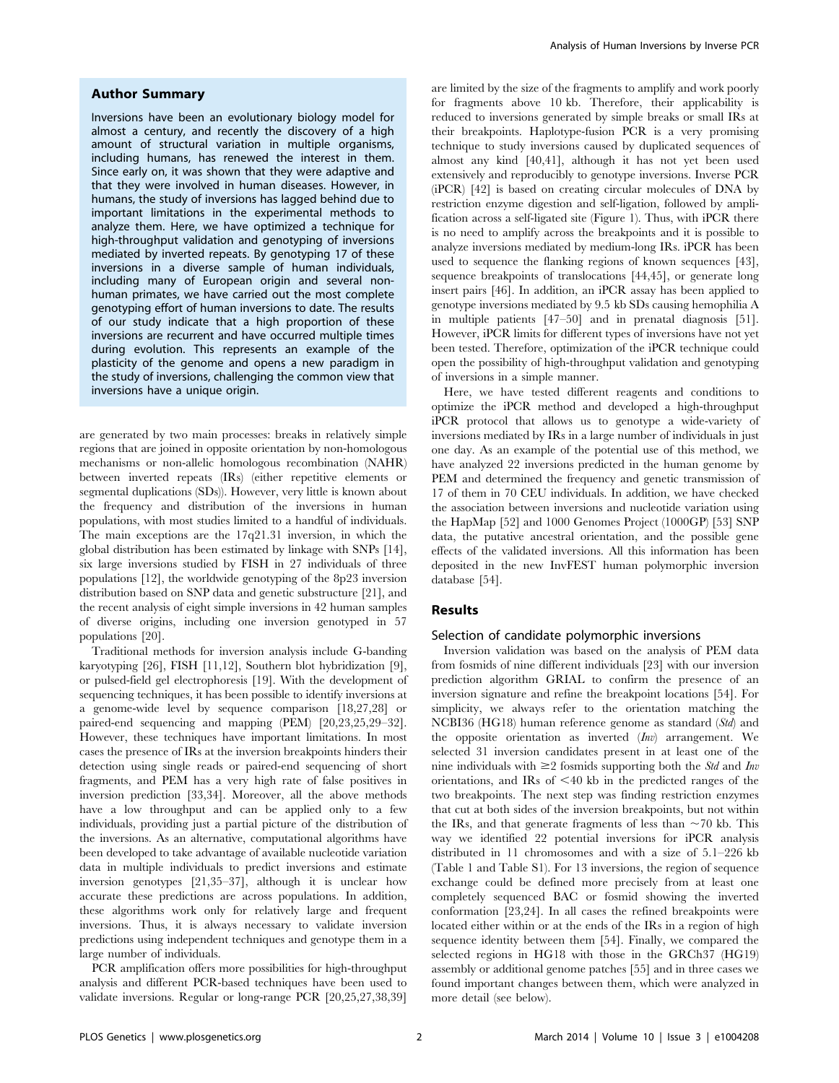## Author Summary

Inversions have been an evolutionary biology model for almost a century, and recently the discovery of a high amount of structural variation in multiple organisms, including humans, has renewed the interest in them. Since early on, it was shown that they were adaptive and that they were involved in human diseases. However, in humans, the study of inversions has lagged behind due to important limitations in the experimental methods to analyze them. Here, we have optimized a technique for high-throughput validation and genotyping of inversions mediated by inverted repeats. By genotyping 17 of these inversions in a diverse sample of human individuals, including many of European origin and several nonhuman primates, we have carried out the most complete genotyping effort of human inversions to date. The results of our study indicate that a high proportion of these inversions are recurrent and have occurred multiple times during evolution. This represents an example of the plasticity of the genome and opens a new paradigm in the study of inversions, challenging the common view that inversions have a unique origin.

are generated by two main processes: breaks in relatively simple regions that are joined in opposite orientation by non-homologous mechanisms or non-allelic homologous recombination (NAHR) between inverted repeats (IRs) (either repetitive elements or segmental duplications (SDs)). However, very little is known about the frequency and distribution of the inversions in human populations, with most studies limited to a handful of individuals. The main exceptions are the 17q21.31 inversion, in which the global distribution has been estimated by linkage with SNPs [14], six large inversions studied by FISH in 27 individuals of three populations [12], the worldwide genotyping of the 8p23 inversion distribution based on SNP data and genetic substructure [21], and the recent analysis of eight simple inversions in 42 human samples of diverse origins, including one inversion genotyped in 57 populations [20].

Traditional methods for inversion analysis include G-banding karyotyping [26], FISH [11,12], Southern blot hybridization [9], or pulsed-field gel electrophoresis [19]. With the development of sequencing techniques, it has been possible to identify inversions at a genome-wide level by sequence comparison [18,27,28] or paired-end sequencing and mapping (PEM) [20,23,25,29–32]. However, these techniques have important limitations. In most cases the presence of IRs at the inversion breakpoints hinders their detection using single reads or paired-end sequencing of short fragments, and PEM has a very high rate of false positives in inversion prediction [33,34]. Moreover, all the above methods have a low throughput and can be applied only to a few individuals, providing just a partial picture of the distribution of the inversions. As an alternative, computational algorithms have been developed to take advantage of available nucleotide variation data in multiple individuals to predict inversions and estimate inversion genotypes [21,35–37], although it is unclear how accurate these predictions are across populations. In addition, these algorithms work only for relatively large and frequent inversions. Thus, it is always necessary to validate inversion predictions using independent techniques and genotype them in a large number of individuals.

PCR amplification offers more possibilities for high-throughput analysis and different PCR-based techniques have been used to validate inversions. Regular or long-range PCR [20,25,27,38,39]

are limited by the size of the fragments to amplify and work poorly for fragments above 10 kb. Therefore, their applicability is reduced to inversions generated by simple breaks or small IRs at their breakpoints. Haplotype-fusion PCR is a very promising technique to study inversions caused by duplicated sequences of almost any kind [40,41], although it has not yet been used extensively and reproducibly to genotype inversions. Inverse PCR (iPCR) [42] is based on creating circular molecules of DNA by restriction enzyme digestion and self-ligation, followed by amplification across a self-ligated site (Figure 1). Thus, with iPCR there is no need to amplify across the breakpoints and it is possible to analyze inversions mediated by medium-long IRs. iPCR has been used to sequence the flanking regions of known sequences [43], sequence breakpoints of translocations [44,45], or generate long insert pairs [46]. In addition, an iPCR assay has been applied to genotype inversions mediated by 9.5 kb SDs causing hemophilia A in multiple patients [47–50] and in prenatal diagnosis [51]. However, iPCR limits for different types of inversions have not yet been tested. Therefore, optimization of the iPCR technique could open the possibility of high-throughput validation and genotyping of inversions in a simple manner.

Here, we have tested different reagents and conditions to optimize the iPCR method and developed a high-throughput iPCR protocol that allows us to genotype a wide-variety of inversions mediated by IRs in a large number of individuals in just one day. As an example of the potential use of this method, we have analyzed 22 inversions predicted in the human genome by PEM and determined the frequency and genetic transmission of 17 of them in 70 CEU individuals. In addition, we have checked the association between inversions and nucleotide variation using the HapMap [52] and 1000 Genomes Project (1000GP) [53] SNP data, the putative ancestral orientation, and the possible gene effects of the validated inversions. All this information has been deposited in the new InvFEST human polymorphic inversion database [54].

## Results

# Selection of candidate polymorphic inversions

Inversion validation was based on the analysis of PEM data from fosmids of nine different individuals [23] with our inversion prediction algorithm GRIAL to confirm the presence of an inversion signature and refine the breakpoint locations [54]. For simplicity, we always refer to the orientation matching the NCBI36 (HG18) human reference genome as standard (Std) and the opposite orientation as inverted (Inv) arrangement. We selected 31 inversion candidates present in at least one of the nine individuals with  $\geq 2$  fosmids supporting both the *Std* and *Inv* orientations, and IRs of  $\leq 40$  kb in the predicted ranges of the two breakpoints. The next step was finding restriction enzymes that cut at both sides of the inversion breakpoints, but not within the IRs, and that generate fragments of less than  $\sim$  70 kb. This way we identified 22 potential inversions for iPCR analysis distributed in 11 chromosomes and with a size of 5.1–226 kb (Table 1 and Table S1). For 13 inversions, the region of sequence exchange could be defined more precisely from at least one completely sequenced BAC or fosmid showing the inverted conformation [23,24]. In all cases the refined breakpoints were located either within or at the ends of the IRs in a region of high sequence identity between them [54]. Finally, we compared the selected regions in HG18 with those in the GRCh37 (HG19) assembly or additional genome patches [55] and in three cases we found important changes between them, which were analyzed in more detail (see below).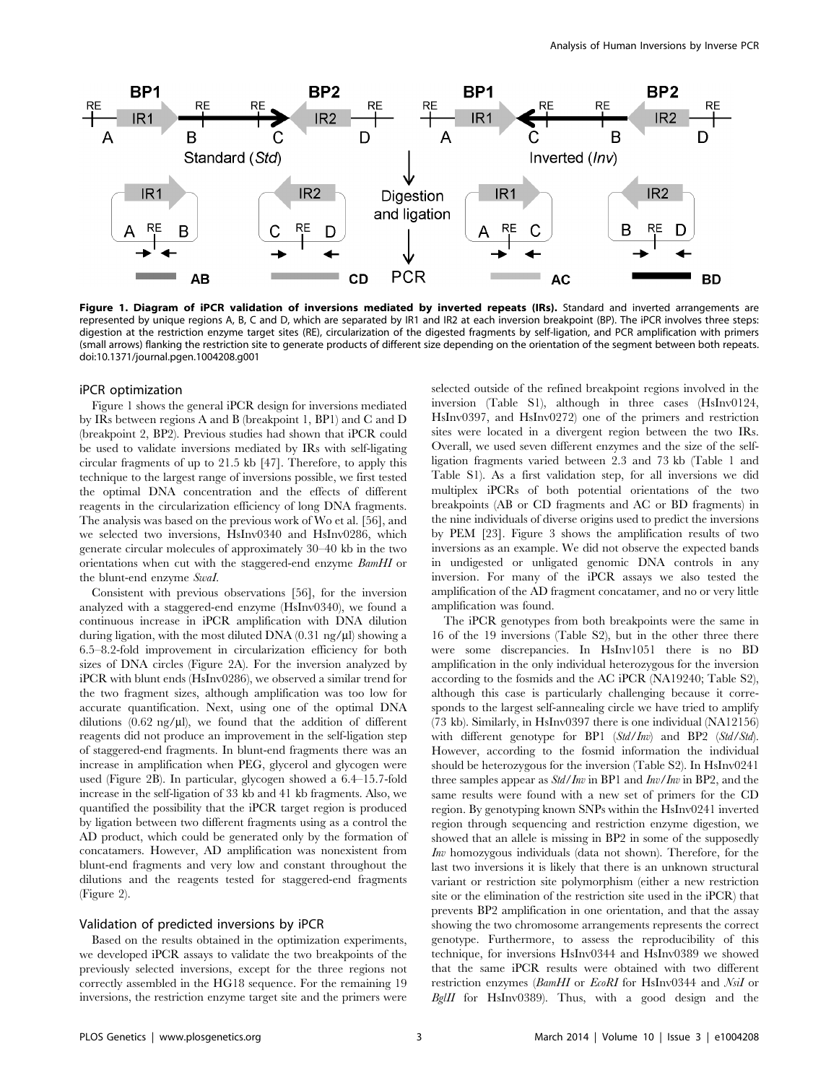

Figure 1. Diagram of iPCR validation of inversions mediated by inverted repeats (IRs). Standard and inverted arrangements are represented by unique regions A, B, C and D, which are separated by IR1 and IR2 at each inversion breakpoint (BP). The iPCR involves three steps: digestion at the restriction enzyme target sites (RE), circularization of the digested fragments by self-ligation, and PCR amplification with primers (small arrows) flanking the restriction site to generate products of different size depending on the orientation of the segment between both repeats. doi:10.1371/journal.pgen.1004208.g001

#### iPCR optimization

Figure 1 shows the general iPCR design for inversions mediated by IRs between regions A and B (breakpoint 1, BP1) and C and D (breakpoint 2, BP2). Previous studies had shown that iPCR could be used to validate inversions mediated by IRs with self-ligating circular fragments of up to 21.5 kb [47]. Therefore, to apply this technique to the largest range of inversions possible, we first tested the optimal DNA concentration and the effects of different reagents in the circularization efficiency of long DNA fragments. The analysis was based on the previous work of Wo et al. [56], and we selected two inversions, HsInv0340 and HsInv0286, which generate circular molecules of approximately 30–40 kb in the two orientations when cut with the staggered-end enzyme BamHI or the blunt-end enzyme SwaI.

Consistent with previous observations [56], for the inversion analyzed with a staggered-end enzyme (HsInv0340), we found a continuous increase in iPCR amplification with DNA dilution during ligation, with the most diluted DNA  $(0.31 \text{ ng/}\mu\text{l})$  showing a 6.5–8.2-fold improvement in circularization efficiency for both sizes of DNA circles (Figure 2A). For the inversion analyzed by iPCR with blunt ends (HsInv0286), we observed a similar trend for the two fragment sizes, although amplification was too low for accurate quantification. Next, using one of the optimal DNA dilutions  $(0.62 \text{ ng/µl})$ , we found that the addition of different reagents did not produce an improvement in the self-ligation step of staggered-end fragments. In blunt-end fragments there was an increase in amplification when PEG, glycerol and glycogen were used (Figure 2B). In particular, glycogen showed a 6.4–15.7-fold increase in the self-ligation of 33 kb and 41 kb fragments. Also, we quantified the possibility that the iPCR target region is produced by ligation between two different fragments using as a control the AD product, which could be generated only by the formation of concatamers. However, AD amplification was nonexistent from blunt-end fragments and very low and constant throughout the dilutions and the reagents tested for staggered-end fragments (Figure 2).

# Validation of predicted inversions by iPCR

Based on the results obtained in the optimization experiments, we developed iPCR assays to validate the two breakpoints of the previously selected inversions, except for the three regions not correctly assembled in the HG18 sequence. For the remaining 19 inversions, the restriction enzyme target site and the primers were

selected outside of the refined breakpoint regions involved in the inversion (Table S1), although in three cases (HsInv0124, HsInv0397, and HsInv0272) one of the primers and restriction sites were located in a divergent region between the two IRs. Overall, we used seven different enzymes and the size of the selfligation fragments varied between 2.3 and 73 kb (Table 1 and Table S1). As a first validation step, for all inversions we did multiplex iPCRs of both potential orientations of the two breakpoints (AB or CD fragments and AC or BD fragments) in the nine individuals of diverse origins used to predict the inversions by PEM [23]. Figure 3 shows the amplification results of two inversions as an example. We did not observe the expected bands in undigested or unligated genomic DNA controls in any inversion. For many of the iPCR assays we also tested the amplification of the AD fragment concatamer, and no or very little amplification was found.

The iPCR genotypes from both breakpoints were the same in 16 of the 19 inversions (Table S2), but in the other three there were some discrepancies. In HsInv1051 there is no BD amplification in the only individual heterozygous for the inversion according to the fosmids and the AC iPCR (NA19240; Table S2), although this case is particularly challenging because it corresponds to the largest self-annealing circle we have tried to amplify (73 kb). Similarly, in HsInv0397 there is one individual (NA12156) with different genotype for BP1 (Std/Inv) and BP2 (Std/Std). However, according to the fosmid information the individual should be heterozygous for the inversion (Table S2). In HsInv0241 three samples appear as Std/Inv in BP1 and Inv/Inv in BP2, and the same results were found with a new set of primers for the CD region. By genotyping known SNPs within the HsInv0241 inverted region through sequencing and restriction enzyme digestion, we showed that an allele is missing in BP2 in some of the supposedly  $Inv$  homozygous individuals (data not shown). Therefore, for the last two inversions it is likely that there is an unknown structural variant or restriction site polymorphism (either a new restriction site or the elimination of the restriction site used in the iPCR) that prevents BP2 amplification in one orientation, and that the assay showing the two chromosome arrangements represents the correct genotype. Furthermore, to assess the reproducibility of this technique, for inversions HsInv0344 and HsInv0389 we showed that the same iPCR results were obtained with two different restriction enzymes (BamHI or EcoRI for HsInv0344 and NsiI or BglII for HsInv0389). Thus, with a good design and the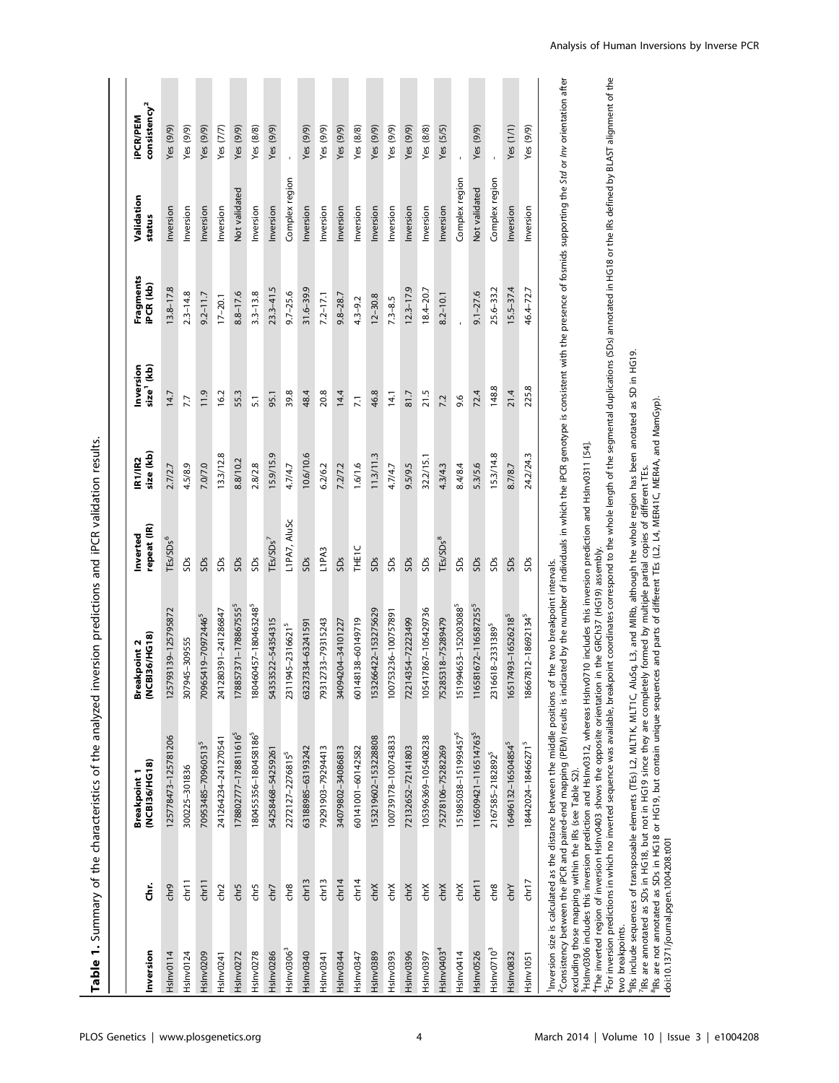| Í<br>.<br>!                                         |
|-----------------------------------------------------|
|                                                     |
| í                                                   |
| $\frac{1}{2}$                                       |
| `<br>!                                              |
|                                                     |
| ミラ                                                  |
|                                                     |
| able<br>s<br>$\ddot{\phantom{a}}$<br>$\overline{1}$ |

| Inversion              | .<br>ئ        | (NCBI36/HG18)<br>Breakpoint 1                                                                                                                                                                                                                                                      | (NCBI36/HG18)<br><b>Breakpoint 2</b> | repeat (IR)<br>Inverted | size (kb)<br><b>IR1/IR2</b> | size <sup>1</sup> (kb)<br>Inversion | Fragments<br><b>IPCR (kb)</b> | Validation<br>status | $\cos i$ stency $^2$<br><b>IPCR/PEM</b> |
|------------------------|---------------|------------------------------------------------------------------------------------------------------------------------------------------------------------------------------------------------------------------------------------------------------------------------------------|--------------------------------------|-------------------------|-----------------------------|-------------------------------------|-------------------------------|----------------------|-----------------------------------------|
| <b>Hslnv0114</b>       | chr9          | 125778473-125781206                                                                                                                                                                                                                                                                | 125793139-125795872                  | TEs/SDs <sup>6</sup>    | 2.7/2.7                     | 14.7                                | 13.8-17.8                     | Inversion            | Yes (9/9)                               |
| <b>Hslnv0124</b>       | chr11         | 300225-301836                                                                                                                                                                                                                                                                      | 307945-309555                        | ŞQ                      | 4.5/8.9                     | 7.7                                 | $2.3 - 14.8$                  | Inversion            | Yes (9/9)                               |
| <b>Hslnv0209</b>       | chr11         | 70953485-709605135                                                                                                                                                                                                                                                                 | 70965419-70972446 <sup>5</sup>       | SDs                     | 7.0/7.0                     | 11.9                                | $9.2 - 11.7$                  | Inversion            | Yes (9/9)                               |
| Hslnv0241              | chr2          | 241264234-241270541                                                                                                                                                                                                                                                                | 241280391-241286847                  | SDs                     | 13.3/12.8                   | 16.2                                | $17 - 20.1$                   | Inversion            | Yes $(7/7)$                             |
| <b>Hslnv0272</b>       | chr5          | 178802777-178811616 <sup>5</sup>                                                                                                                                                                                                                                                   | 178857371-1788675555                 | SDs                     | 8.8/10.2                    | 55.3                                | $8.8 - 17.6$                  | Not validated        | Yes (9/9)                               |
| <b>Hslnv0278</b>       | chr5          | 180455356-180458186 <sup>5</sup>                                                                                                                                                                                                                                                   | 180460457-180463248 <sup>5</sup>     | ŞQ                      | 2.8/2.8                     | 5.1                                 | $3.3 - 13.8$                  | Inversion            | Yes (8/8)                               |
| <b>Hslnv0286</b>       | chr7          | 54258468-54259261                                                                                                                                                                                                                                                                  | 54353522-54354315                    | TEs/SDs <sup>7</sup>    | 15.9/15.9                   | 95.1                                | $23.3 - 41.5$                 | Inversion            | Yes (9/9)                               |
| Hslnv0306 <sup>3</sup> | chr8          | 2272127-2276815 <sup>5</sup>                                                                                                                                                                                                                                                       | 2311945-2316621 <sup>5</sup>         | L1PA7, AluSc            | 4.7/4.7                     | 39.8                                | $9.7 - 25.6$                  | Complex region       |                                         |
| <b>Hslnv0340</b>       | chr13         | 63188985-63193242                                                                                                                                                                                                                                                                  | 63237334-63241591                    | SDs                     | 10.6/10.6                   | 48.4                                | $31.6 - 39.9$                 | Inversion            | Yes (9/9)                               |
| Hslnv0341              | chr13         | 79291903-79294413                                                                                                                                                                                                                                                                  | 79312733-79315243                    | L1PA3                   | 6.2/6.2                     | 20.8                                | $7.2 - 17.1$                  | Inversion            | Yes (9/9)                               |
| <b>Hslnv0344</b>       | chr14         | 34079802-34086813                                                                                                                                                                                                                                                                  | 34094204-34101227                    | SDs                     | 7.2/7.2                     | 14.4                                | $9.8 - 28.7$                  | Inversion            | Yes (9/9)                               |
| Hslnv0347              | chr14         | 50141001-60142582                                                                                                                                                                                                                                                                  | 60148138-60149719                    | <b>THEIC</b>            | 1.6/1.6                     | $\overline{2}$                      | $4.3 - 9.2$                   | Inversion            | Yes $(8/8)$                             |
| Hslnv0389              | chrX          | 153219602-153228808                                                                                                                                                                                                                                                                | 153266422-153275629                  | SDs                     | 11.3/11.3                   | 46.8                                | $12 - 30.8$                   | Inversion            | Yes (9/9)                               |
| <b>Hslnv0393</b>       | chrX          | 100739178-100743833                                                                                                                                                                                                                                                                | 100753236-100757891                  | SDs                     | 4.7/4.7                     | 14.1                                | $7.3 - 8.5$                   | Inversion            | Yes (9/9)                               |
| <b>Hslnv0396</b>       | chrX          | 72132652-72141803                                                                                                                                                                                                                                                                  | 72214354-72223499                    | SDs                     | 9.5/9.5                     | 81.7                                | $12.3 - 17.9$                 | Inversion            | Yes (9/9)                               |
| Hslnv0397              | chrX          | 105396369-105408238                                                                                                                                                                                                                                                                | 105417867-105429736                  | SDs                     | 32.2/15.1                   | 21.5                                | 18.4-20.7                     | Inversion            | Yes (8/8)                               |
| Hslnv0403 <sup>4</sup> | chrX          | 75278106-75282269                                                                                                                                                                                                                                                                  | 75285318-75289479                    | TEs/SDs <sup>8</sup>    | 4.3/4.3                     | 7.2                                 | $8.2 - 10.1$                  | Inversion            | Yes $(5/5)$                             |
| <b>Hslnv0414</b>       | chrX          | 151985038-151993457 <sup>5</sup>                                                                                                                                                                                                                                                   | 151994653-152003088 <sup>5</sup>     | SDs                     | 8.4/8.4                     | 9.6                                 |                               | Complex region       |                                         |
| <b>Hslnv0526</b>       | chr1          | 116509421-116514763 <sup>5</sup>                                                                                                                                                                                                                                                   | 116581672-116587255 <sup>5</sup>     | SDs                     | 5.3/5.6                     | 72.4                                | $9.1 - 27.6$                  | Not validated        | Yes (9/9)                               |
| Hslnv0710 <sup>3</sup> | $\frac{8}{2}$ | 2167585-2182892 <sup>5</sup>                                                                                                                                                                                                                                                       | 2316618-2331389 <sup>5</sup>         | SDs                     | 15.3/14.8                   | 148.8                               | $25.6 - 33.2$                 | Complex region       |                                         |
| <b>Hslnv0832</b>       | chrY          | 16496132-16504854 <sup>5</sup>                                                                                                                                                                                                                                                     | 16517493-16526218 <sup>5</sup>       | SDs                     | 8.7/8.7                     | 21.4                                | $15.5 - 37.4$                 | Inversion            | Yes (1/1)                               |
| <b>Hslnv1051</b>       | chr17         | 18442024-184662715                                                                                                                                                                                                                                                                 | 18667812-18692134 <sup>5</sup>       | SDs                     | 24.2/24.3                   | 225.8                               | 46.4-72.7                     | Inversion            | Yes (9/9)                               |
|                        |               | <sup>2</sup> Consideration the IDCB and naired and manning (DEM) results is individually the individual in which the iDCB nanome is consistent the mesonge of forming the SM or his origination after<br>Inversion size is calculated as the distance between the middle positions | of the two breakpoint intervals.     |                         |                             |                                     |                               |                      |                                         |

excluding those mapping within the IRs (see Table S2).<br><sup>3</sup>HsInv0306 includes this inversion prediction and HsInv0312, whereas HsInv0710 includes this inversion prediction and HsInv0311 [54].<br><sup>4</sup>The inverted region of inver 2Consistency between the iPCR and paired-end mapping (PEM) results is indicated by the number of individuals in which the iPCR genotype is consistent with the presence of fosmids supporting the Std or Inv orientation after  $\leq$ ñ Ë ē gkio ī, excluding those mapping within the IRs (see Table S2). 3

3HsInv0306 includes this inversion prediction and HsInv0312, whereas HsInv0710 includes this inversion prediction and HsInv0311 [54].

4The inverted region of inversion HsInv0403 shows the opposite orientation in the GRCh37 (HG19) assembly.

5For inversion predictions in which no inverted sequence was available, breakpoint coordinates correspond to the whole length of the segmental duplications (SDs) annotated in HG18 or the IRs defined by BLAST alignment of the two breakpoints.

two breakpoints.<br><sup>6</sup>IRs include sequences of transposable elements (TEs) L2, MLTIK, MLTIC, AluSq, L3, and MIRb, although the whole region has been anotated as SD in HGI9.<br><sup>7</sup>IRs are annotated as SDs in HGI8, but not in HGI 6IRs include sequences of transposable elements (TEs) L2, MLT1K, MLT1C, AluSq, L3, and MIRb, although the whole region has been anotated as SD in HG19.

7IRs are annotated as SDs in HG18, but not in HG19 since they are completely formed by multiple partial copies of different TEs.

8IRs are not annotated as SDs in HG18 or HG19, but contain unique sequences and parts of different TEs (L2, L4, MER41C, MER4A, and MamGyp).

doi:10.1371/journal.pgen.1004208.t001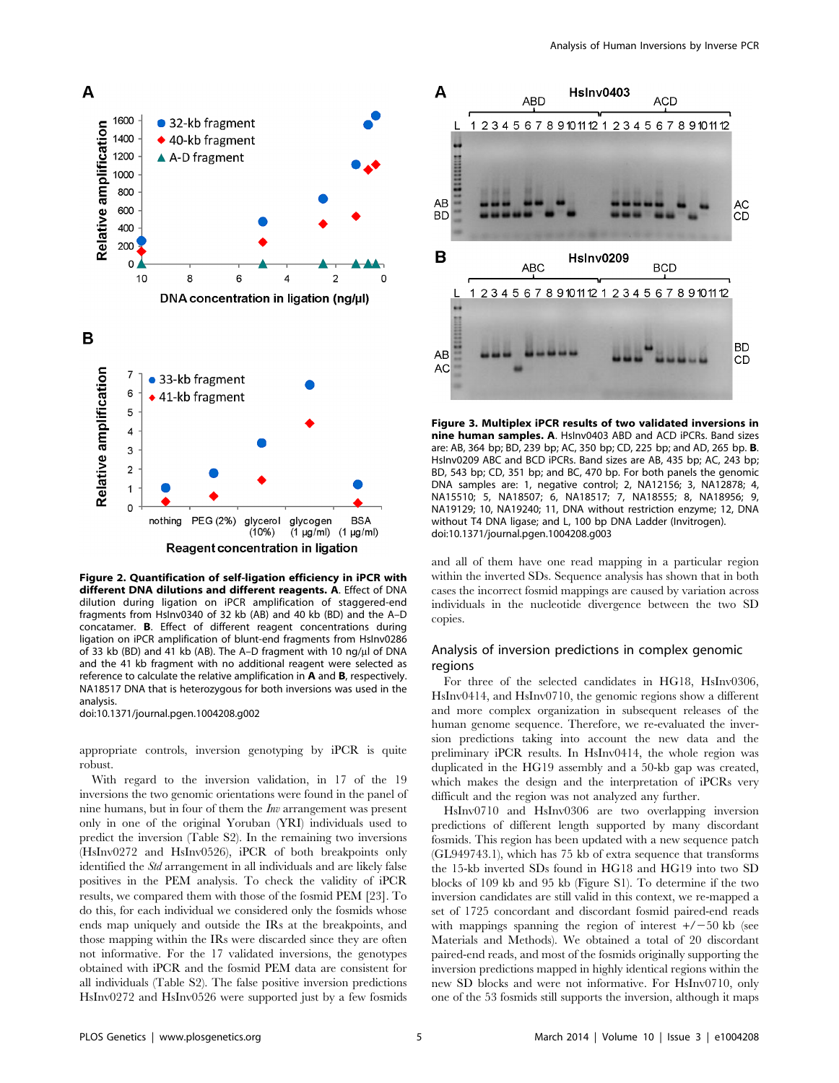

Figure 2. Quantification of self-ligation efficiency in iPCR with different DNA dilutions and different reagents. A. Effect of DNA dilution during ligation on iPCR amplification of staggered-end fragments from HsInv0340 of 32 kb (AB) and 40 kb (BD) and the A–D concatamer. B. Effect of different reagent concentrations during ligation on iPCR amplification of blunt-end fragments from HsInv0286 of 33 kb (BD) and 41 kb (AB). The A–D fragment with 10 ng/ $\mu$ l of DNA and the 41 kb fragment with no additional reagent were selected as reference to calculate the relative amplification in A and B, respectively. NA18517 DNA that is heterozygous for both inversions was used in the analysis.

doi:10.1371/journal.pgen.1004208.g002

appropriate controls, inversion genotyping by iPCR is quite robust.

With regard to the inversion validation, in 17 of the 19 inversions the two genomic orientations were found in the panel of nine humans, but in four of them the Inv arrangement was present only in one of the original Yoruban (YRI) individuals used to predict the inversion (Table S2). In the remaining two inversions (HsInv0272 and HsInv0526), iPCR of both breakpoints only identified the Std arrangement in all individuals and are likely false positives in the PEM analysis. To check the validity of iPCR results, we compared them with those of the fosmid PEM [23]. To do this, for each individual we considered only the fosmids whose ends map uniquely and outside the IRs at the breakpoints, and those mapping within the IRs were discarded since they are often not informative. For the 17 validated inversions, the genotypes obtained with iPCR and the fosmid PEM data are consistent for all individuals (Table S2). The false positive inversion predictions HsInv0272 and HsInv0526 were supported just by a few fosmids



Figure 3. Multiplex iPCR results of two validated inversions in nine human samples. A. HsInv0403 ABD and ACD iPCRs. Band sizes are: AB, 364 bp; BD, 239 bp; AC, 350 bp; CD, 225 bp; and AD, 265 bp. B. HsInv0209 ABC and BCD iPCRs. Band sizes are AB, 435 bp; AC, 243 bp; BD, 543 bp; CD, 351 bp; and BC, 470 bp. For both panels the genomic DNA samples are: 1, negative control; 2, NA12156; 3, NA12878; 4, NA15510; 5, NA18507; 6, NA18517; 7, NA18555; 8, NA18956; 9, NA19129; 10, NA19240; 11, DNA without restriction enzyme; 12, DNA without T4 DNA ligase; and L, 100 bp DNA Ladder (Invitrogen). doi:10.1371/journal.pgen.1004208.g003

and all of them have one read mapping in a particular region within the inverted SDs. Sequence analysis has shown that in both cases the incorrect fosmid mappings are caused by variation across individuals in the nucleotide divergence between the two SD copies.

# Analysis of inversion predictions in complex genomic regions

For three of the selected candidates in HG18, HsInv0306, HsInv0414, and HsInv0710, the genomic regions show a different and more complex organization in subsequent releases of the human genome sequence. Therefore, we re-evaluated the inversion predictions taking into account the new data and the preliminary iPCR results. In HsInv0414, the whole region was duplicated in the HG19 assembly and a 50-kb gap was created, which makes the design and the interpretation of iPCRs very difficult and the region was not analyzed any further.

HsInv0710 and HsInv0306 are two overlapping inversion predictions of different length supported by many discordant fosmids. This region has been updated with a new sequence patch (GL949743.1), which has 75 kb of extra sequence that transforms the 15-kb inverted SDs found in HG18 and HG19 into two SD blocks of 109 kb and 95 kb (Figure S1). To determine if the two inversion candidates are still valid in this context, we re-mapped a set of 1725 concordant and discordant fosmid paired-end reads with mappings spanning the region of interest  $+/-50$  kb (see Materials and Methods). We obtained a total of 20 discordant paired-end reads, and most of the fosmids originally supporting the inversion predictions mapped in highly identical regions within the new SD blocks and were not informative. For HsInv0710, only one of the 53 fosmids still supports the inversion, although it maps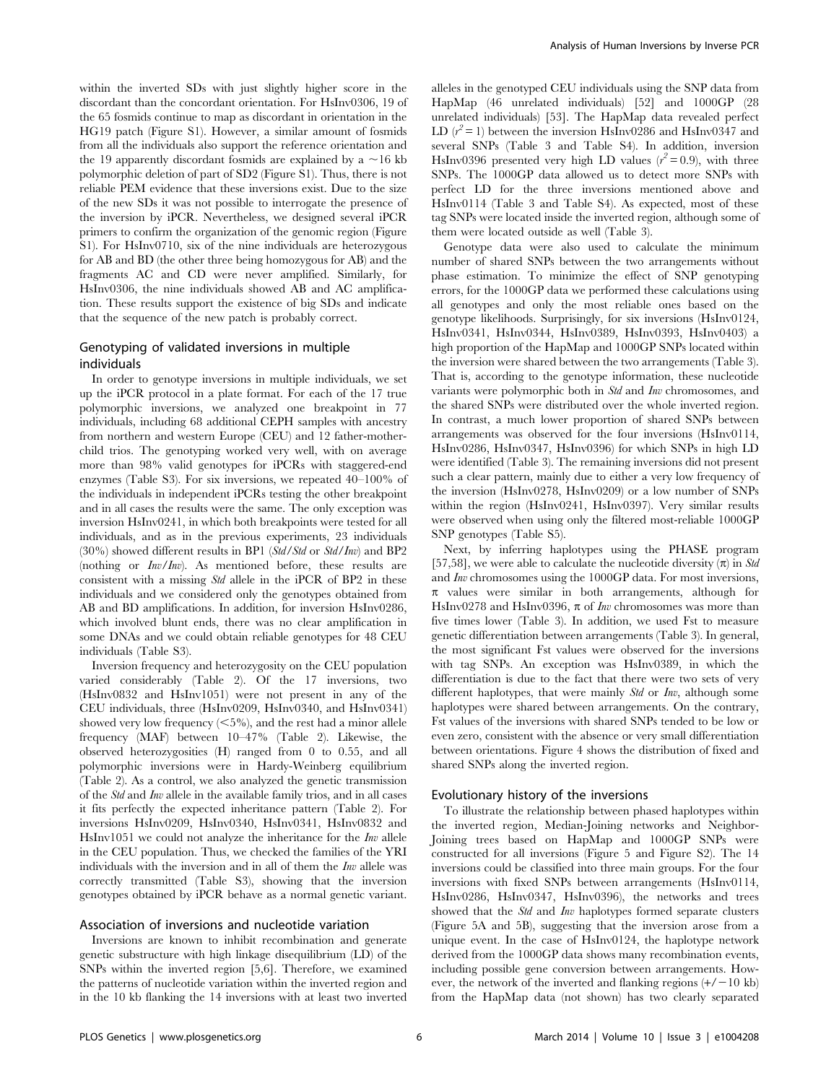within the inverted SDs with just slightly higher score in the discordant than the concordant orientation. For HsInv0306, 19 of the 65 fosmids continue to map as discordant in orientation in the HG19 patch (Figure S1). However, a similar amount of fosmids from all the individuals also support the reference orientation and the 19 apparently discordant fosmids are explained by a  $\sim$ 16 kb polymorphic deletion of part of SD2 (Figure S1). Thus, there is not reliable PEM evidence that these inversions exist. Due to the size of the new SDs it was not possible to interrogate the presence of the inversion by iPCR. Nevertheless, we designed several iPCR primers to confirm the organization of the genomic region (Figure S1). For HsInv0710, six of the nine individuals are heterozygous for AB and BD (the other three being homozygous for AB) and the fragments AC and CD were never amplified. Similarly, for HsInv0306, the nine individuals showed AB and AC amplification. These results support the existence of big SDs and indicate that the sequence of the new patch is probably correct.

# Genotyping of validated inversions in multiple individuals

In order to genotype inversions in multiple individuals, we set up the iPCR protocol in a plate format. For each of the 17 true polymorphic inversions, we analyzed one breakpoint in 77 individuals, including 68 additional CEPH samples with ancestry from northern and western Europe (CEU) and 12 father-motherchild trios. The genotyping worked very well, with on average more than 98% valid genotypes for iPCRs with staggered-end enzymes (Table S3). For six inversions, we repeated 40–100% of the individuals in independent iPCRs testing the other breakpoint and in all cases the results were the same. The only exception was inversion HsInv0241, in which both breakpoints were tested for all individuals, and as in the previous experiments, 23 individuals (30%) showed different results in BP1 (Std/Std or Std/Inv) and BP2 (nothing or  $Inv/Inv$ ). As mentioned before, these results are consistent with a missing Std allele in the iPCR of BP2 in these individuals and we considered only the genotypes obtained from AB and BD amplifications. In addition, for inversion HsInv0286, which involved blunt ends, there was no clear amplification in some DNAs and we could obtain reliable genotypes for 48 CEU individuals (Table S3).

Inversion frequency and heterozygosity on the CEU population varied considerably (Table 2). Of the 17 inversions, two (HsInv0832 and HsInv1051) were not present in any of the CEU individuals, three (HsInv0209, HsInv0340, and HsInv0341) showed very low frequency  $(<5\%)$ , and the rest had a minor allele frequency (MAF) between 10–47% (Table 2). Likewise, the observed heterozygosities (H) ranged from 0 to 0.55, and all polymorphic inversions were in Hardy-Weinberg equilibrium (Table 2). As a control, we also analyzed the genetic transmission of the Std and Inv allele in the available family trios, and in all cases it fits perfectly the expected inheritance pattern (Table 2). For inversions HsInv0209, HsInv0340, HsInv0341, HsInv0832 and HsInv1051 we could not analyze the inheritance for the Inv allele in the CEU population. Thus, we checked the families of the YRI individuals with the inversion and in all of them the Inv allele was correctly transmitted (Table S3), showing that the inversion genotypes obtained by iPCR behave as a normal genetic variant.

#### Association of inversions and nucleotide variation

Inversions are known to inhibit recombination and generate genetic substructure with high linkage disequilibrium (LD) of the SNPs within the inverted region [5,6]. Therefore, we examined the patterns of nucleotide variation within the inverted region and in the 10 kb flanking the 14 inversions with at least two inverted alleles in the genotyped CEU individuals using the SNP data from HapMap (46 unrelated individuals) [52] and 1000GP (28 unrelated individuals) [53]. The HapMap data revealed perfect LD  $(r^2 = 1)$  between the inversion HsInv0286 and HsInv0347 and several SNPs (Table 3 and Table S4). In addition, inversion HsInv0396 presented very high LD values ( $r^2 = 0.9$ ), with three SNPs. The 1000GP data allowed us to detect more SNPs with perfect LD for the three inversions mentioned above and HsInv0114 (Table 3 and Table S4). As expected, most of these tag SNPs were located inside the inverted region, although some of them were located outside as well (Table 3).

Genotype data were also used to calculate the minimum number of shared SNPs between the two arrangements without phase estimation. To minimize the effect of SNP genotyping errors, for the 1000GP data we performed these calculations using all genotypes and only the most reliable ones based on the genotype likelihoods. Surprisingly, for six inversions (HsInv0124, HsInv0341, HsInv0344, HsInv0389, HsInv0393, HsInv0403) a high proportion of the HapMap and 1000GP SNPs located within the inversion were shared between the two arrangements (Table 3). That is, according to the genotype information, these nucleotide variants were polymorphic both in Std and Inv chromosomes, and the shared SNPs were distributed over the whole inverted region. In contrast, a much lower proportion of shared SNPs between arrangements was observed for the four inversions (HsInv0114, HsInv0286, HsInv0347, HsInv0396) for which SNPs in high LD were identified (Table 3). The remaining inversions did not present such a clear pattern, mainly due to either a very low frequency of the inversion (HsInv0278, HsInv0209) or a low number of SNPs within the region (HsInv0241, HsInv0397). Very similar results were observed when using only the filtered most-reliable 1000GP SNP genotypes (Table S5).

Next, by inferring haplotypes using the PHASE program [57,58], we were able to calculate the nucleotide diversity  $(\pi)$  in Std and Inv chromosomes using the 1000GP data. For most inversions,  $\pi$  values were similar in both arrangements, although for HsInv0278 and HsInv0396,  $\pi$  of *Inv* chromosomes was more than five times lower (Table 3). In addition, we used Fst to measure genetic differentiation between arrangements (Table 3). In general, the most significant Fst values were observed for the inversions with tag SNPs. An exception was HsInv0389, in which the differentiation is due to the fact that there were two sets of very different haplotypes, that were mainly Std or Inv, although some haplotypes were shared between arrangements. On the contrary, Fst values of the inversions with shared SNPs tended to be low or even zero, consistent with the absence or very small differentiation between orientations. Figure 4 shows the distribution of fixed and shared SNPs along the inverted region.

#### Evolutionary history of the inversions

To illustrate the relationship between phased haplotypes within the inverted region, Median-Joining networks and Neighbor-Joining trees based on HapMap and 1000GP SNPs were constructed for all inversions (Figure 5 and Figure S2). The 14 inversions could be classified into three main groups. For the four inversions with fixed SNPs between arrangements (HsInv0114, HsInv0286, HsInv0347, HsInv0396), the networks and trees showed that the Std and Inv haplotypes formed separate clusters (Figure 5A and 5B), suggesting that the inversion arose from a unique event. In the case of HsInv0124, the haplotype network derived from the 1000GP data shows many recombination events, including possible gene conversion between arrangements. However, the network of the inverted and flanking regions  $(+/-10$  kb) from the HapMap data (not shown) has two clearly separated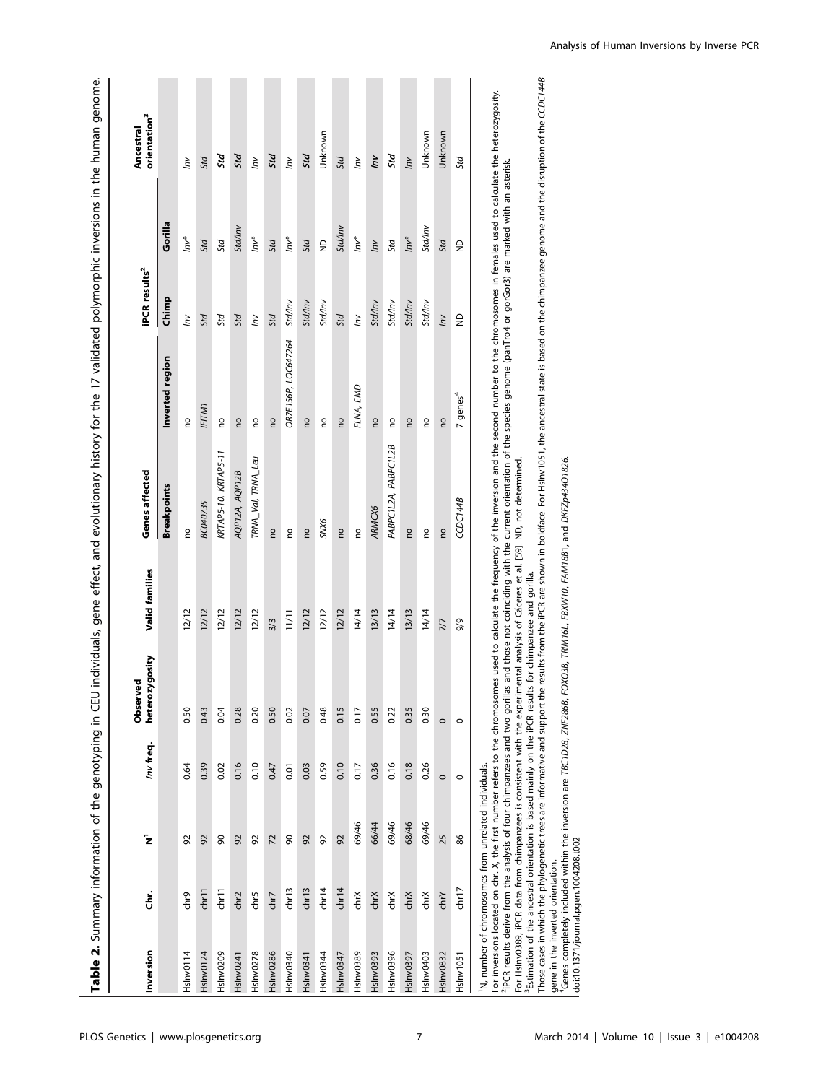Table 2. Summary information of the genotyping in CEU individuals, gene effect, and evolutionary history for the 17 validated polymorphic inversions in the human genome. Table 2. Summary information of the genotyping in CEU individuals, gene effect, and evolutionary history for the 17 validated polymorphic inversions in the human genome.

 $\overline{1}$ 

 $\sim$  100  $\pm$ 

**College** 

**College** 

 $\sim$ 

 $\sim$ 

**College** 

**College** 

 $\sim$ 

**College**  $\overline{1}$ 

|                  |       |                                                                   | יין<br>י<br>i<br>D |                                      | ŋ              |                      |                      |                           |                | 'n                                    |
|------------------|-------|-------------------------------------------------------------------|--------------------|--------------------------------------|----------------|----------------------|----------------------|---------------------------|----------------|---------------------------------------|
| Inversion        | ຮ້    | ż                                                                 | Inv freq.          | <b>AisoBAzo</b><br>Observed<br>heter | Valid families | Genes affected       |                      | iPCR results <sup>2</sup> |                | orientation <sup>3</sup><br>Ancestral |
|                  |       |                                                                   |                    |                                      |                | <b>Breakpoints</b>   | Inverted region      | Chimp                     | Gorilla        |                                       |
| Hslnv0114        | chr9  | 92                                                                | 0.64               | 0.50                                 | 12/12          | g                    | $\mathsf{e}$         | λη                        | $mv^*$         | Ιm                                    |
| <b>Hslnv0124</b> | chr11 | 92                                                                | 0.39               | 0.43                                 | 12/12          | <b>BC040735</b>      | <b>IFITM1</b>        | Std                       | Std            | Std                                   |
| Hslnv0209        | chr11 | 8                                                                 | 0.02               | 0.04                                 | 12/12          | KRTAP5-10, KRTAP5-11 | g                    | Std                       | Std            | Std                                   |
| <b>Hslnv0241</b> | chr2  | 92                                                                | 0.16               | 0.28                                 | 12/12          | AQP12A, AQP12B       | <b>ou</b>            | Std                       | Std/Inv        | Std                                   |
| Hslnv0278        | chr5  | 92                                                                | 0.10               | 0.20                                 | 12/12          | TRNA_Val, TRNA_Leu   | <b>PO</b>            | λη                        | $mv^*$         | $\geq$                                |
| <b>Hslnv0286</b> | chr7  | 72                                                                | 0.47               | 0.50                                 | 3/3            | $\overline{c}$       | <b>P</b>             | Std                       | Std            | <b>Std</b>                            |
| Hslnv0340        | chr13 | 8                                                                 | 0.01               | 0.02                                 | 11/11          | g                    | OR7E156P, LOC647264  | Std/Inv                   | $mv^*$         | $\tilde{m}$                           |
| <b>Hslnv0341</b> | chr13 | 92                                                                | 0.03               | 0.07                                 | 12/12          | g                    | g                    | Std/Inv                   | Std            | Std                                   |
| Hslnv0344        | chr14 | 92                                                                | 0.59               | 0.48                                 | 12/12          | SNX6                 | <b>PO</b>            | Std/Inv                   | $\overline{z}$ | Unknown                               |
| Hslnv0347        | chr14 | 92                                                                | 0.10               | 0.15                                 | 12/12          | e                    | g                    | Std                       | <b>Std/Inv</b> | Std                                   |
| Hslnv0389        | chrX  | 69/46                                                             | 0.17               | 0.17                                 | 14/14          | g                    | FLNA, EMD            | λη                        | $mv^*$         | $\tilde{n}$                           |
| Hslnv0393        | chrX  | 66/44                                                             | 0.36               | 0.55                                 | 13/13          | ARMCX6               | $\overline{c}$       | Std/Inv                   | λη             | ηv                                    |
| Hslnv0396        | chrX  | 69/46                                                             | 0.16               | 0.22                                 | 14/14          | PABPC1L2A, PABPC1L2B | <b>PO</b>            | Std/Inv                   | Std            | Std                                   |
| Hslnv0397        | chrX  | 68/46                                                             | 0.18               | 0.35                                 | 13/13          | <b>PO</b>            | <b>PO</b>            | Std/Inv                   | $mv^*$         | $\widetilde{m}$                       |
| Hslnv0403        | chrX  | 69/46                                                             | 0.26               | 0.30                                 | 14/14          | g                    | <b>PO</b>            | Std/Inv                   | Std/Inv        | Unknown                               |
| <b>Hslnv0832</b> | chrY  | 25                                                                | $\circ$            | $\circ$                              | 7/7            | <b>PO</b>            | <b>DO</b>            | $\overline{\mathsf{m}}$   | Std            | Unknown                               |
| Hslnv1051        | chr17 | 86                                                                | $\circ$            | $\circ$                              | 9/9            | CCDC144B             | 7 genes <sup>4</sup> | $\overline{z}$            | $\overline{z}$ | Std                                   |
|                  |       | <sup>1</sup> N, number of chromosomes from unrelated individuals. |                    |                                      |                |                      |                      |                           |                |                                       |

For inversions located on chr. X, the first number refers to the chromosomes used to calculate the frequency of the inversion and the second number to the chromosomes in females used to calculate the heterozygosity.<br><sup>2</sup>IPC For inversions located on chr. X, the first number refers to the chromosomes used to calculate the frequency of the inversion and the second number to the chromosomes in females used to calculate the heterozygosity.<br><sup>2</sup>IPC

For HsInv0389, iPCR data from chimpanzees is consistent with the experimental analysis of Cáceres et al. [59]. ND, not determined.<br><sup>3</sup>Estimation of the ancestral orientation is based mainly on the iPCR results for chimpanz

For HsInv0389, IPCR data from chimpanzees is consistent with the experimental analysis of Cáceres et al. [59]. ND, not determined.<br><sup>3</sup>Estimation of the ancestral orientation is based mainly on the IPCR results for chimpanz Those cases in which the phylogenetic trees are informative and support the results from the iPCR are shown in boldface. For HsInv1051, the ancestral state is based on the chimpanzee genome and the disruption of the CCDC144B

gene in the inverted orientation.<br>"Genes completely included within the inversion are *TBC1D28, ZNF286B, FOXO3B, TRIM16L, FBXW10, FAM18B1,* and *DKFZp434O1826.*<br>doi:10.1371/journal.pgen.1004208.t002 4Genes completely included within the inversion are TBC1D28, ZNF286B, FOXO3B, TRIM16L, FBXW10, FAM18B1, and DKFZp434O1826. gene in the inverted orientation.

doi:10.1371/journal.pgen.1004208.t002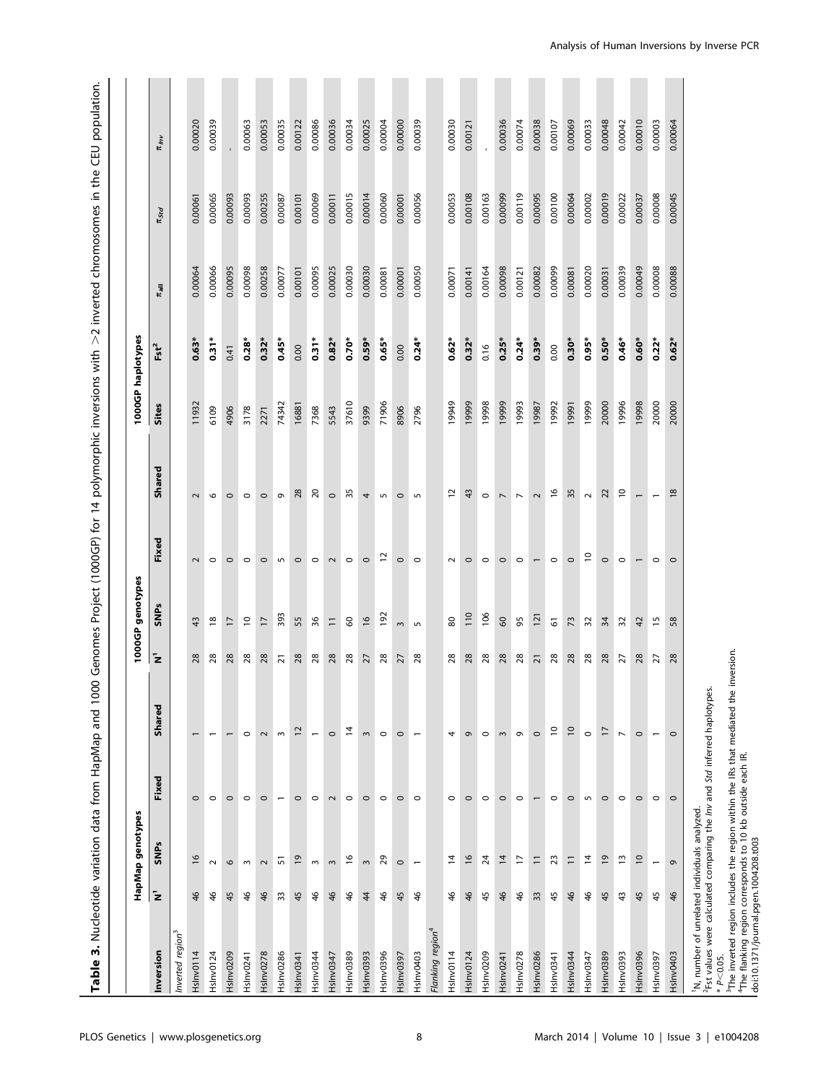Table 3. Nucleotide variation data from HapMap and 1000 Genomes Project (1000GP) for 14 polymorphic inversions with >2 inverted chromosomes in the CEU population.  $>$ 2 inverted chromosomes in the CEU population. Table 3. Nucleotide variation data from HapMap and 1000 Genomes Project (1000GP) for 14 polymorphic inversions with

|                                                                                                                                                                                                                                                                                                                             |               | <b>HapMap genotypes</b>  |                          |                          |                 | 1000GP genotypes        |                          |                          | 1000GP haplotypes |         |                    |             |                                  |
|-----------------------------------------------------------------------------------------------------------------------------------------------------------------------------------------------------------------------------------------------------------------------------------------------------------------------------|---------------|--------------------------|--------------------------|--------------------------|-----------------|-------------------------|--------------------------|--------------------------|-------------------|---------|--------------------|-------------|----------------------------------|
| Inversion                                                                                                                                                                                                                                                                                                                   | Ξ             | <b>SNPs</b>              | Fixed                    | Shared                   | Ξ               | <b>SNPs</b>             | Fixed                    | Shared                   | Sites             | $Fst^2$ | $\pi_{\bullet}$ II | $\pi_{Std}$ | $\pi_{\prime\prime\prime\prime}$ |
| Inverted region <sup>3</sup>                                                                                                                                                                                                                                                                                                |               |                          |                          |                          |                 |                         |                          |                          |                   |         |                    |             |                                  |
| <b>Hslnv0114</b>                                                                                                                                                                                                                                                                                                            | 46            | $\frac{6}{2}$            | $\circ$                  | $\overline{ }$           | 28              | $\frac{3}{4}$           | $\sim$                   | $\sim$                   | 11932             | $0.63*$ | 0.00064            | 0.00061     | 0.00020                          |
| <b>Hslnv0124</b>                                                                                                                                                                                                                                                                                                            | 46            | $\sim$                   | $\circ$                  | $\overline{ }$           | 28              | $\overline{\mathbf{8}}$ | $\circ$                  | $\circ$                  | 6109              | $0.31*$ | 0.00066            | 0.00065     | 0.00039                          |
| Hslnv0209                                                                                                                                                                                                                                                                                                                   | 45            | 6                        | $\circ$                  | $\overline{\phantom{0}}$ | 28              | $\overline{1}$          | $\circ$                  | $\circ$                  | 4906              | 0.41    | 0.00095            | 0.00093     |                                  |
| Hslnv0241                                                                                                                                                                                                                                                                                                                   | $\frac{4}{6}$ | $\,$ $\,$                | $\circ$                  | $\circ$                  | 28              | $\mathsf{D}$            | $\circ$                  | $\circ$                  | 3178              | $0.28*$ | 0.00098            | 0.00093     | 0.00063                          |
| Hslnv0278                                                                                                                                                                                                                                                                                                                   | 46            | $\sim$                   | $\circ$                  | $\sim$                   | 28              | $\overline{1}$          | $\circ$                  | $\circ$                  | 2271              | $0.32*$ | 0.00258            | 0.00255     | 0.00053                          |
| Hslnv0286                                                                                                                                                                                                                                                                                                                   | 33            | 5                        | $\overline{\phantom{0}}$ | $\,$ $\,$                | $\overline{2}1$ | 393                     | $\sqrt{2}$               | $\sigma$                 | 74342             | $0.45*$ | 0.00077            | 0.00087     | 0.00035                          |
| Hslnv0341                                                                                                                                                                                                                                                                                                                   | 45            | $\overline{6}$           | $\circ$                  | $\overline{c}$           | 28              | 55                      | $\circ$                  | 28                       | 16881             | 0.00    | 0.00101            | 0.00101     | 0.00122                          |
| Hslnv0344                                                                                                                                                                                                                                                                                                                   | $\frac{4}{6}$ | $\sim$                   | $\circ$                  | $\overline{\phantom{0}}$ | 28              | 96                      | $\circ$                  | 20                       | 7368              | $0.31*$ | 0.00095            | 0.00069     | 0.00086                          |
| Hslnv0347                                                                                                                                                                                                                                                                                                                   | 46            | $\sim$                   | $\sim$                   | $\circ$                  | $28$            | $\Xi$                   | $\sim$                   | $\circ$                  | 5543              | $0.82*$ | 0.00025            | 0.00011     | 0.00036                          |
| Hslnv0389                                                                                                                                                                                                                                                                                                                   | 46            | $\frac{9}{2}$            | $\circ$                  | 4                        | 28              | $\pmb{\mathbb{S}}$      | $\circ$                  | 35                       | 37610             | $0.70*$ | 0.00030            | 0.00015     | 0.00034                          |
| Hslnv0393                                                                                                                                                                                                                                                                                                                   | 44            | $\sim$                   | $\circ$                  | $\sim$                   | 27              | $\frac{6}{2}$           | $\circ$                  | 4                        | 9399              | $0.59*$ | 0.00030            | 0.00014     | 0.00025                          |
| Hslnv0396                                                                                                                                                                                                                                                                                                                   | 46            | $\overline{29}$          | $\circ$                  | $\circ$                  | 28              | 192                     | 2                        | S                        | 71906             | $0.65*$ | 0.00081            | 0.00060     | 0.00004                          |
| Hslnv0397                                                                                                                                                                                                                                                                                                                   | 45            | $\circ$                  | $\circ$                  | $\circ$                  | 27              | $\omega$                | $\circ$                  | $\circ$                  | 8906              | 0.00    | 0.00001            | 0.00001     | 0.00000                          |
| Hslnv0403                                                                                                                                                                                                                                                                                                                   | 46            | $\overline{ }$           | $\circ$                  | $\overline{\phantom{m}}$ | 28              | $\mathsf{L}\cap$        | $\circ$                  | $\mathsf{L}\cap$         | 2796              | $0.24*$ | 0.00050            | 0.00056     | 0.00039                          |
| Flanking region <sup>4</sup>                                                                                                                                                                                                                                                                                                |               |                          |                          |                          |                 |                         |                          |                          |                   |         |                    |             |                                  |
| Hslnv0114                                                                                                                                                                                                                                                                                                                   | 46            | ≒                        | $\circ$                  | 4                        | 28              | 80                      | $\sim$                   | 5                        | 19949             | $0.62*$ | 0.00071            | 0.00053     | 0.00030                          |
| <b>Hslnv0124</b>                                                                                                                                                                                                                                                                                                            | 46            | $\frac{6}{2}$            | $\circ$                  | G                        | $28$            | 110                     | $\circ$                  | 43                       | 19999             | $0.32*$ | 0.00141            | 0.00108     | 0.00121                          |
| Hslnv0209                                                                                                                                                                                                                                                                                                                   | 45            | $\overline{24}$          | $\circ$                  | $\circ$                  | 28              | 106                     | $\circ$                  | $\circ$                  | 19998             | 0.16    | 0.00164            | 0.00163     |                                  |
| <b>Hslnv0241</b>                                                                                                                                                                                                                                                                                                            | 46            | $\overline{4}$           | $\circ$                  | $\sim$                   | 28              | $\infty$                | $\circ$                  | $\overline{\phantom{a}}$ | 19999             | $0.25*$ | 0.00098            | 0.00099     | 0.00036                          |
| <b>Hslnv0278</b>                                                                                                                                                                                                                                                                                                            | 46            | F                        | $\circ$                  | G                        | 28              | 95                      | $\circ$                  | $\sim$                   | 19993             | $0.24*$ | 0.00121            | 0.00119     | 0.00074                          |
| <b>Hslnv0286</b>                                                                                                                                                                                                                                                                                                            | 33            | $\equiv$                 | $\overline{\phantom{0}}$ | $\circ$                  | $\overline{2}1$ | $\overline{2}$          | $\overline{\phantom{0}}$ | $\sim$                   | 19987             | $0.39*$ | 0.00082            | 0.00095     | 0.00038                          |
| Hslnv0341                                                                                                                                                                                                                                                                                                                   | 45            | 23                       | $\circ$                  | $\overline{c}$           | 28              | $\overline{\circ}$      | $\circ$                  | $\frac{\infty}{2}$       | 19992             | 0.00    | 0.00099            | 0.00100     | 0.00107                          |
| Hslnv0344                                                                                                                                                                                                                                                                                                                   | 46            | $\equiv$                 | $\circ$                  | $\overline{0}$           | $28$            | 73                      | $\circ$                  | 35                       | 19991             | $0.30*$ | 0.00081            | 0.00064     | 0.00069                          |
| Hslnv0347                                                                                                                                                                                                                                                                                                                   | $\frac{4}{6}$ | $\overline{4}$           | $\overline{5}$           | $\circ$                  | 28              | $\overline{32}$         | $\overline{c}$           | $\sim$                   | 19999             | 0.95*   | 0.00020            | 0.00002     | 0.00033                          |
| Hslnv0389                                                                                                                                                                                                                                                                                                                   | 45            | $\overline{6}$           | $\circ$                  | 17                       | 28              | $\frac{1}{2}$           | $\circ$                  | $\overline{\mathbf{z}}$  | 20000             | $0.50*$ | 0.00031            | 0.00019     | 0.00048                          |
| Hslnv0393                                                                                                                                                                                                                                                                                                                   | 43            | $\overline{\mathbf{u}}$  | $\circ$                  | $\overline{\phantom{a}}$ | 27              | 32                      | $\circ$                  | ₽                        | 19996             | $0.46*$ | 0.00039            | 0.00022     | 0.00042                          |
| Hslnv0396                                                                                                                                                                                                                                                                                                                   | 45            | $\overline{0}$           | $\circ$                  | $\circ$                  | 28              | $\overline{a}$          |                          |                          | 19998             | $0.60*$ | 0.00049            | 0.00037     | 0.00010                          |
| Hslnv0397                                                                                                                                                                                                                                                                                                                   | 45            | $\overline{\phantom{0}}$ | $\circ$                  | $\overline{\phantom{0}}$ | 27              | 15                      | $\circ$                  |                          | 20000             | $0.22*$ | 0.00008            | 0.00008     | 0.00003                          |
| <b>Hslnv0403</b>                                                                                                                                                                                                                                                                                                            | 46            | $\circ$                  | $\circ$                  | $\circ$                  | 28              | 58                      | $\circ$                  | $\frac{8}{2}$            | 20000             | $0.62*$ | 0.00088            | 0.00045     | 0.00064                          |
| <sup>2</sup> Fst values were calculated comparing the Inv and Std inferred haplotypes<br><sup>3</sup> The inverted region includes the region within the IRs that mediated the<br><sup>4</sup> The flanking region corresponds to 10 kb outside each IR.<br>1N, number of unrelated individuals analyzed.<br>$* P < 0.05$ . |               |                          |                          |                          | inversion.      |                         |                          |                          |                   |         |                    |             |                                  |
| doi:10.1371/journal.pgen.1004208.t003                                                                                                                                                                                                                                                                                       |               |                          |                          |                          |                 |                         |                          |                          |                   |         |                    |             |                                  |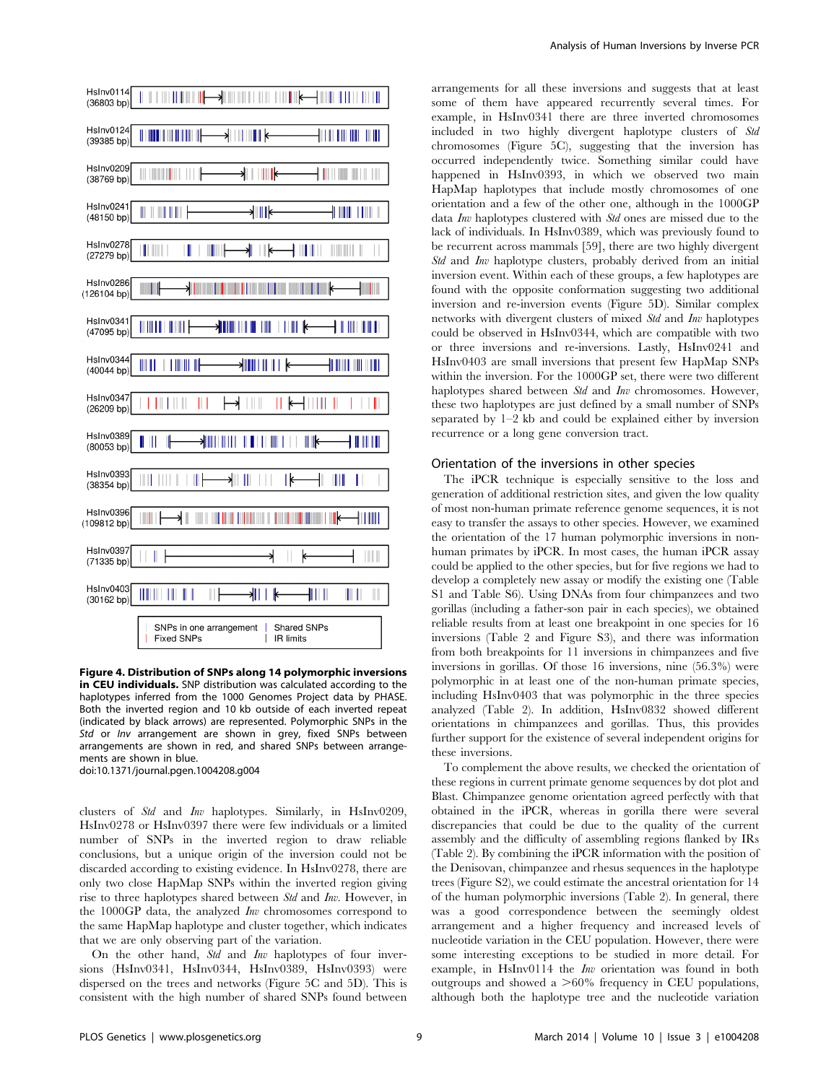

Figure 4. Distribution of SNPs along 14 polymorphic inversions in CEU individuals. SNP distribution was calculated according to the haplotypes inferred from the 1000 Genomes Project data by PHASE. Both the inverted region and 10 kb outside of each inverted repeat (indicated by black arrows) are represented. Polymorphic SNPs in the Std or Inv arrangement are shown in grey, fixed SNPs between arrangements are shown in red, and shared SNPs between arrangements are shown in blue.

doi:10.1371/journal.pgen.1004208.g004

clusters of Std and Inv haplotypes. Similarly, in HsInv0209, HsInv0278 or HsInv0397 there were few individuals or a limited number of SNPs in the inverted region to draw reliable conclusions, but a unique origin of the inversion could not be discarded according to existing evidence. In HsInv0278, there are only two close HapMap SNPs within the inverted region giving rise to three haplotypes shared between Std and Inv. However, in the 1000GP data, the analyzed Inv chromosomes correspond to the same HapMap haplotype and cluster together, which indicates that we are only observing part of the variation.

On the other hand, Std and Inv haplotypes of four inversions (HsInv0341, HsInv0344, HsInv0389, HsInv0393) were dispersed on the trees and networks (Figure 5C and 5D). This is consistent with the high number of shared SNPs found between arrangements for all these inversions and suggests that at least some of them have appeared recurrently several times. For example, in HsInv0341 there are three inverted chromosomes included in two highly divergent haplotype clusters of Std chromosomes (Figure 5C), suggesting that the inversion has occurred independently twice. Something similar could have happened in HsInv0393, in which we observed two main HapMap haplotypes that include mostly chromosomes of one orientation and a few of the other one, although in the 1000GP data Inv haplotypes clustered with Std ones are missed due to the lack of individuals. In HsInv0389, which was previously found to be recurrent across mammals [59], there are two highly divergent Std and Inv haplotype clusters, probably derived from an initial inversion event. Within each of these groups, a few haplotypes are found with the opposite conformation suggesting two additional inversion and re-inversion events (Figure 5D). Similar complex networks with divergent clusters of mixed Std and Inv haplotypes could be observed in HsInv0344, which are compatible with two or three inversions and re-inversions. Lastly, HsInv0241 and HsInv0403 are small inversions that present few HapMap SNPs within the inversion. For the 1000GP set, there were two different haplotypes shared between *Std* and *Inv* chromosomes. However, these two haplotypes are just defined by a small number of SNPs separated by 1–2 kb and could be explained either by inversion recurrence or a long gene conversion tract.

#### Orientation of the inversions in other species

The iPCR technique is especially sensitive to the loss and generation of additional restriction sites, and given the low quality of most non-human primate reference genome sequences, it is not easy to transfer the assays to other species. However, we examined the orientation of the 17 human polymorphic inversions in nonhuman primates by iPCR. In most cases, the human iPCR assay could be applied to the other species, but for five regions we had to develop a completely new assay or modify the existing one (Table S1 and Table S6). Using DNAs from four chimpanzees and two gorillas (including a father-son pair in each species), we obtained reliable results from at least one breakpoint in one species for 16 inversions (Table 2 and Figure S3), and there was information from both breakpoints for 11 inversions in chimpanzees and five inversions in gorillas. Of those 16 inversions, nine (56.3%) were polymorphic in at least one of the non-human primate species, including HsInv0403 that was polymorphic in the three species analyzed (Table 2). In addition, HsInv0832 showed different orientations in chimpanzees and gorillas. Thus, this provides further support for the existence of several independent origins for these inversions.

To complement the above results, we checked the orientation of these regions in current primate genome sequences by dot plot and Blast. Chimpanzee genome orientation agreed perfectly with that obtained in the iPCR, whereas in gorilla there were several discrepancies that could be due to the quality of the current assembly and the difficulty of assembling regions flanked by IRs (Table 2). By combining the iPCR information with the position of the Denisovan, chimpanzee and rhesus sequences in the haplotype trees (Figure S2), we could estimate the ancestral orientation for 14 of the human polymorphic inversions (Table 2). In general, there was a good correspondence between the seemingly oldest arrangement and a higher frequency and increased levels of nucleotide variation in the CEU population. However, there were some interesting exceptions to be studied in more detail. For example, in HsInv0114 the Inv orientation was found in both outgroups and showed a  $>60\%$  frequency in CEU populations, although both the haplotype tree and the nucleotide variation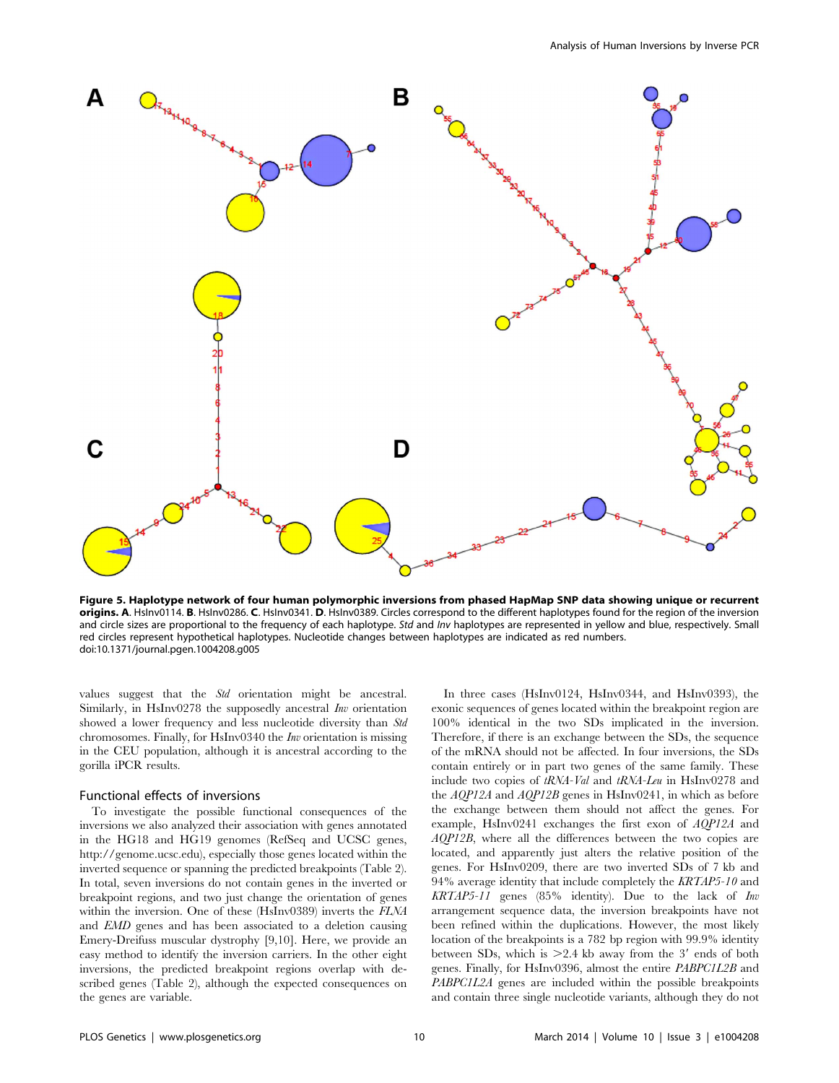

Figure 5. Haplotype network of four human polymorphic inversions from phased HapMap SNP data showing unique or recurrent origins. A. HsInv0114. B. HsInv0286. C. HsInv0341. D. HsInv0389. Circles correspond to the different haplotypes found for the region of the inversion and circle sizes are proportional to the frequency of each haplotype. Std and Inv haplotypes are represented in yellow and blue, respectively. Small red circles represent hypothetical haplotypes. Nucleotide changes between haplotypes are indicated as red numbers. doi:10.1371/journal.pgen.1004208.g005

values suggest that the Std orientation might be ancestral. Similarly, in HsInv0278 the supposedly ancestral Inv orientation showed a lower frequency and less nucleotide diversity than Std chromosomes. Finally, for HsInv0340 the Inv orientation is missing in the CEU population, although it is ancestral according to the gorilla iPCR results.

#### Functional effects of inversions

To investigate the possible functional consequences of the inversions we also analyzed their association with genes annotated in the HG18 and HG19 genomes (RefSeq and UCSC genes, [http://genome.ucsc.edu\)](http://genome.ucsc.edu), especially those genes located within the inverted sequence or spanning the predicted breakpoints (Table 2). In total, seven inversions do not contain genes in the inverted or breakpoint regions, and two just change the orientation of genes within the inversion. One of these (HsInv0389) inverts the FLNA and EMD genes and has been associated to a deletion causing Emery-Dreifuss muscular dystrophy [9,10]. Here, we provide an easy method to identify the inversion carriers. In the other eight inversions, the predicted breakpoint regions overlap with described genes (Table 2), although the expected consequences on the genes are variable.

In three cases (HsInv0124, HsInv0344, and HsInv0393), the exonic sequences of genes located within the breakpoint region are 100% identical in the two SDs implicated in the inversion. Therefore, if there is an exchange between the SDs, the sequence of the mRNA should not be affected. In four inversions, the SDs contain entirely or in part two genes of the same family. These include two copies of tRNA-Val and tRNA-Leu in HsInv0278 and the AQP12A and AQP12B genes in HsInv0241, in which as before the exchange between them should not affect the genes. For example, HsInv0241 exchanges the first exon of AQP12A and AQP12B, where all the differences between the two copies are located, and apparently just alters the relative position of the genes. For HsInv0209, there are two inverted SDs of 7 kb and 94% average identity that include completely the KRTAP5-10 and KRTAP5-11 genes (85% identity). Due to the lack of Inv arrangement sequence data, the inversion breakpoints have not been refined within the duplications. However, the most likely location of the breakpoints is a 782 bp region with 99.9% identity between SDs, which is  $\geq 2.4$  kb away from the 3' ends of both genes. Finally, for HsInv0396, almost the entire PABPC1L2B and PABPC1L2A genes are included within the possible breakpoints and contain three single nucleotide variants, although they do not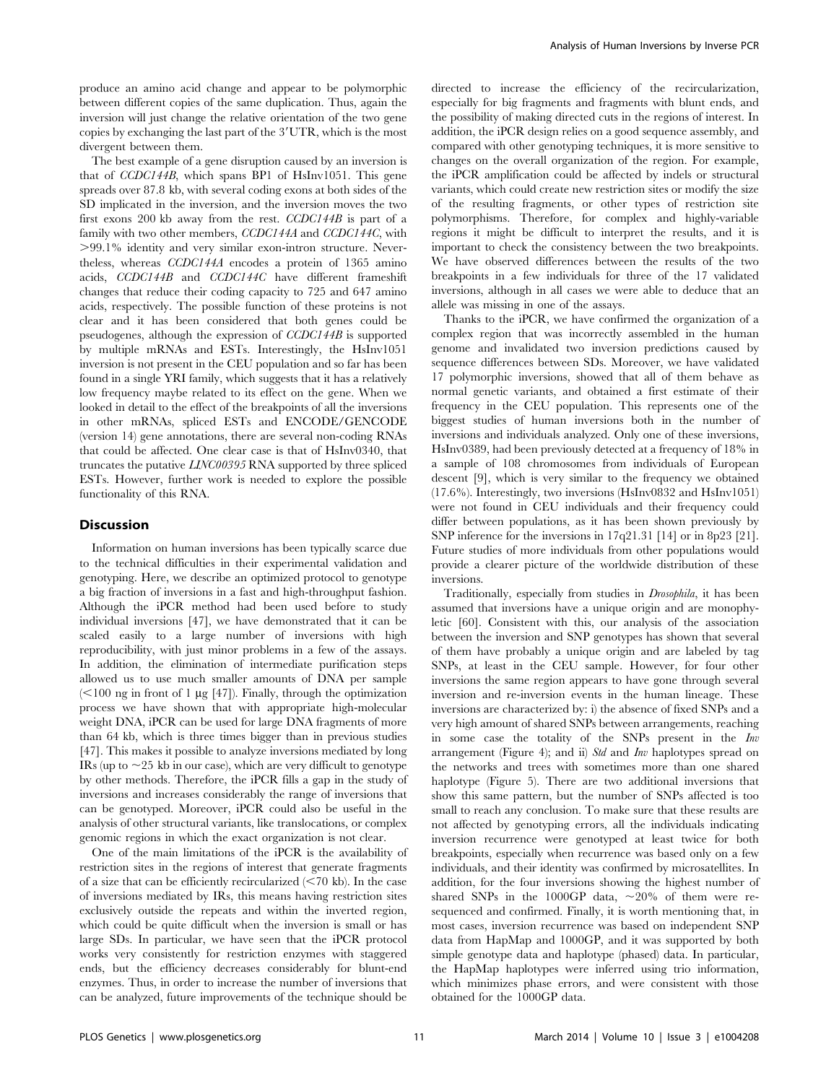produce an amino acid change and appear to be polymorphic between different copies of the same duplication. Thus, again the inversion will just change the relative orientation of the two gene copies by exchanging the last part of the 3'UTR, which is the most divergent between them.

The best example of a gene disruption caused by an inversion is that of CCDC144B, which spans BP1 of HsInv1051. This gene spreads over 87.8 kb, with several coding exons at both sides of the SD implicated in the inversion, and the inversion moves the two first exons 200 kb away from the rest. CCDC144B is part of a family with two other members, CCDC144A and CCDC144C, with .99.1% identity and very similar exon-intron structure. Nevertheless, whereas CCDC144A encodes a protein of 1365 amino acids, CCDC144B and CCDC144C have different frameshift changes that reduce their coding capacity to 725 and 647 amino acids, respectively. The possible function of these proteins is not clear and it has been considered that both genes could be pseudogenes, although the expression of CCDC144B is supported by multiple mRNAs and ESTs. Interestingly, the HsInv1051 inversion is not present in the CEU population and so far has been found in a single YRI family, which suggests that it has a relatively low frequency maybe related to its effect on the gene. When we looked in detail to the effect of the breakpoints of all the inversions in other mRNAs, spliced ESTs and ENCODE/GENCODE (version 14) gene annotations, there are several non-coding RNAs that could be affected. One clear case is that of HsInv0340, that truncates the putative LINC00395 RNA supported by three spliced ESTs. However, further work is needed to explore the possible functionality of this RNA.

## **Discussion**

Information on human inversions has been typically scarce due to the technical difficulties in their experimental validation and genotyping. Here, we describe an optimized protocol to genotype a big fraction of inversions in a fast and high-throughput fashion. Although the iPCR method had been used before to study individual inversions [47], we have demonstrated that it can be scaled easily to a large number of inversions with high reproducibility, with just minor problems in a few of the assays. In addition, the elimination of intermediate purification steps allowed us to use much smaller amounts of DNA per sample  $\approx$  100 ng in front of 1 µg [47]). Finally, through the optimization process we have shown that with appropriate high-molecular weight DNA, iPCR can be used for large DNA fragments of more than 64 kb, which is three times bigger than in previous studies [47]. This makes it possible to analyze inversions mediated by long IRs (up to  $\sim$  25 kb in our case), which are very difficult to genotype by other methods. Therefore, the iPCR fills a gap in the study of inversions and increases considerably the range of inversions that can be genotyped. Moreover, iPCR could also be useful in the analysis of other structural variants, like translocations, or complex genomic regions in which the exact organization is not clear.

One of the main limitations of the iPCR is the availability of restriction sites in the regions of interest that generate fragments of a size that can be efficiently recircularized  $(< 70$  kb). In the case of inversions mediated by IRs, this means having restriction sites exclusively outside the repeats and within the inverted region, which could be quite difficult when the inversion is small or has large SDs. In particular, we have seen that the iPCR protocol works very consistently for restriction enzymes with staggered ends, but the efficiency decreases considerably for blunt-end enzymes. Thus, in order to increase the number of inversions that can be analyzed, future improvements of the technique should be

directed to increase the efficiency of the recircularization, especially for big fragments and fragments with blunt ends, and the possibility of making directed cuts in the regions of interest. In addition, the iPCR design relies on a good sequence assembly, and compared with other genotyping techniques, it is more sensitive to changes on the overall organization of the region. For example, the iPCR amplification could be affected by indels or structural variants, which could create new restriction sites or modify the size of the resulting fragments, or other types of restriction site polymorphisms. Therefore, for complex and highly-variable regions it might be difficult to interpret the results, and it is important to check the consistency between the two breakpoints. We have observed differences between the results of the two breakpoints in a few individuals for three of the 17 validated inversions, although in all cases we were able to deduce that an allele was missing in one of the assays.

Thanks to the iPCR, we have confirmed the organization of a complex region that was incorrectly assembled in the human genome and invalidated two inversion predictions caused by sequence differences between SDs. Moreover, we have validated 17 polymorphic inversions, showed that all of them behave as normal genetic variants, and obtained a first estimate of their frequency in the CEU population. This represents one of the biggest studies of human inversions both in the number of inversions and individuals analyzed. Only one of these inversions, HsInv0389, had been previously detected at a frequency of 18% in a sample of 108 chromosomes from individuals of European descent [9], which is very similar to the frequency we obtained (17.6%). Interestingly, two inversions (HsInv0832 and HsInv1051) were not found in CEU individuals and their frequency could differ between populations, as it has been shown previously by SNP inference for the inversions in 17q21.31 [14] or in 8p23 [21]. Future studies of more individuals from other populations would provide a clearer picture of the worldwide distribution of these inversions.

Traditionally, especially from studies in Drosophila, it has been assumed that inversions have a unique origin and are monophyletic [60]. Consistent with this, our analysis of the association between the inversion and SNP genotypes has shown that several of them have probably a unique origin and are labeled by tag SNPs, at least in the CEU sample. However, for four other inversions the same region appears to have gone through several inversion and re-inversion events in the human lineage. These inversions are characterized by: i) the absence of fixed SNPs and a very high amount of shared SNPs between arrangements, reaching in some case the totality of the SNPs present in the Inv arrangement (Figure 4); and ii) Std and Inv haplotypes spread on the networks and trees with sometimes more than one shared haplotype (Figure 5). There are two additional inversions that show this same pattern, but the number of SNPs affected is too small to reach any conclusion. To make sure that these results are not affected by genotyping errors, all the individuals indicating inversion recurrence were genotyped at least twice for both breakpoints, especially when recurrence was based only on a few individuals, and their identity was confirmed by microsatellites. In addition, for the four inversions showing the highest number of shared SNPs in the 1000GP data,  $\sim$ 20% of them were resequenced and confirmed. Finally, it is worth mentioning that, in most cases, inversion recurrence was based on independent SNP data from HapMap and 1000GP, and it was supported by both simple genotype data and haplotype (phased) data. In particular, the HapMap haplotypes were inferred using trio information, which minimizes phase errors, and were consistent with those obtained for the 1000GP data.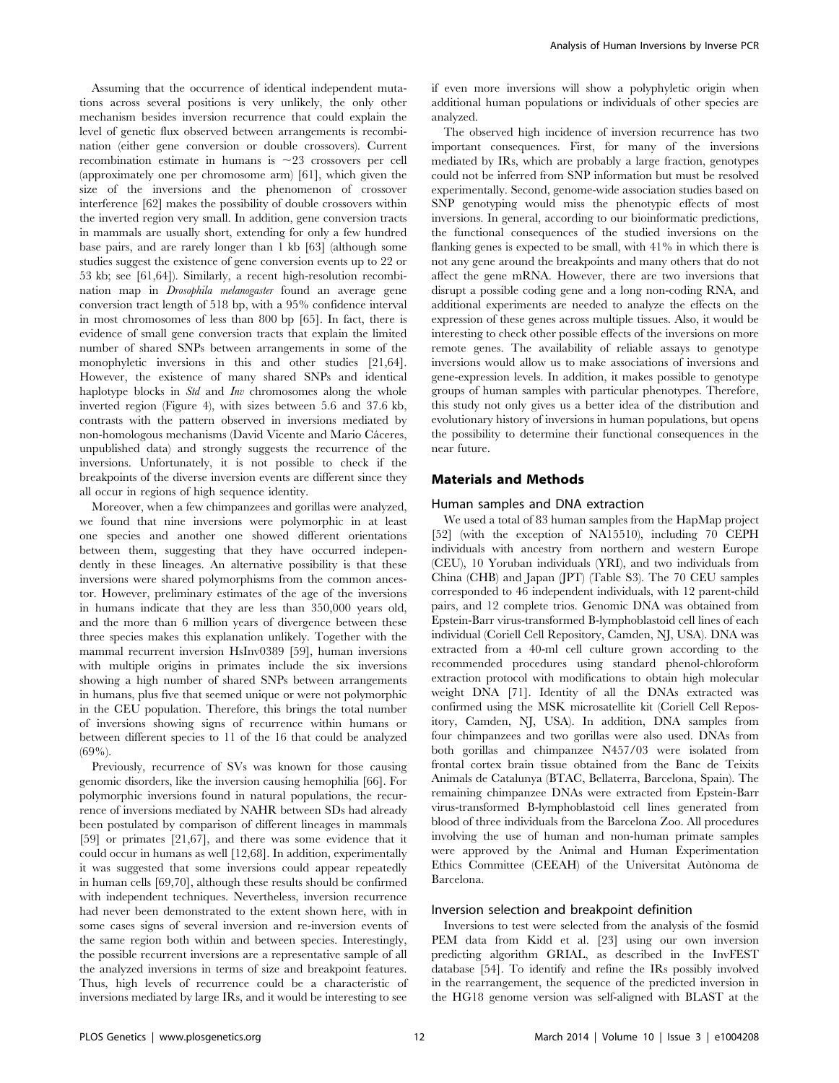Assuming that the occurrence of identical independent mutations across several positions is very unlikely, the only other mechanism besides inversion recurrence that could explain the level of genetic flux observed between arrangements is recombination (either gene conversion or double crossovers). Current recombination estimate in humans is  $\sim$ 23 crossovers per cell (approximately one per chromosome arm) [61], which given the size of the inversions and the phenomenon of crossover interference [62] makes the possibility of double crossovers within the inverted region very small. In addition, gene conversion tracts in mammals are usually short, extending for only a few hundred base pairs, and are rarely longer than 1 kb [63] (although some studies suggest the existence of gene conversion events up to 22 or 53 kb; see [61,64]). Similarly, a recent high-resolution recombination map in Drosophila melanogaster found an average gene conversion tract length of 518 bp, with a 95% confidence interval in most chromosomes of less than 800 bp [65]. In fact, there is evidence of small gene conversion tracts that explain the limited number of shared SNPs between arrangements in some of the monophyletic inversions in this and other studies [21,64]. However, the existence of many shared SNPs and identical haplotype blocks in *Std* and *Inv* chromosomes along the whole inverted region (Figure 4), with sizes between 5.6 and 37.6 kb, contrasts with the pattern observed in inversions mediated by non-homologous mechanisms (David Vicente and Mario Cáceres, unpublished data) and strongly suggests the recurrence of the inversions. Unfortunately, it is not possible to check if the breakpoints of the diverse inversion events are different since they all occur in regions of high sequence identity.

Moreover, when a few chimpanzees and gorillas were analyzed, we found that nine inversions were polymorphic in at least one species and another one showed different orientations between them, suggesting that they have occurred independently in these lineages. An alternative possibility is that these inversions were shared polymorphisms from the common ancestor. However, preliminary estimates of the age of the inversions in humans indicate that they are less than 350,000 years old, and the more than 6 million years of divergence between these three species makes this explanation unlikely. Together with the mammal recurrent inversion HsInv0389 [59], human inversions with multiple origins in primates include the six inversions showing a high number of shared SNPs between arrangements in humans, plus five that seemed unique or were not polymorphic in the CEU population. Therefore, this brings the total number of inversions showing signs of recurrence within humans or between different species to 11 of the 16 that could be analyzed  $(69\%).$ 

Previously, recurrence of SVs was known for those causing genomic disorders, like the inversion causing hemophilia [66]. For polymorphic inversions found in natural populations, the recurrence of inversions mediated by NAHR between SDs had already been postulated by comparison of different lineages in mammals [59] or primates [21,67], and there was some evidence that it could occur in humans as well [12,68]. In addition, experimentally it was suggested that some inversions could appear repeatedly in human cells [69,70], although these results should be confirmed with independent techniques. Nevertheless, inversion recurrence had never been demonstrated to the extent shown here, with in some cases signs of several inversion and re-inversion events of the same region both within and between species. Interestingly, the possible recurrent inversions are a representative sample of all the analyzed inversions in terms of size and breakpoint features. Thus, high levels of recurrence could be a characteristic of inversions mediated by large IRs, and it would be interesting to see

if even more inversions will show a polyphyletic origin when additional human populations or individuals of other species are analyzed.

The observed high incidence of inversion recurrence has two important consequences. First, for many of the inversions mediated by IRs, which are probably a large fraction, genotypes could not be inferred from SNP information but must be resolved experimentally. Second, genome-wide association studies based on SNP genotyping would miss the phenotypic effects of most inversions. In general, according to our bioinformatic predictions, the functional consequences of the studied inversions on the flanking genes is expected to be small, with 41% in which there is not any gene around the breakpoints and many others that do not affect the gene mRNA. However, there are two inversions that disrupt a possible coding gene and a long non-coding RNA, and additional experiments are needed to analyze the effects on the expression of these genes across multiple tissues. Also, it would be interesting to check other possible effects of the inversions on more remote genes. The availability of reliable assays to genotype inversions would allow us to make associations of inversions and gene-expression levels. In addition, it makes possible to genotype groups of human samples with particular phenotypes. Therefore, this study not only gives us a better idea of the distribution and evolutionary history of inversions in human populations, but opens the possibility to determine their functional consequences in the near future.

## Materials and Methods

#### Human samples and DNA extraction

We used a total of 83 human samples from the HapMap project [52] (with the exception of NA15510), including 70 CEPH individuals with ancestry from northern and western Europe (CEU), 10 Yoruban individuals (YRI), and two individuals from China (CHB) and Japan (JPT) (Table S3). The 70 CEU samples corresponded to 46 independent individuals, with 12 parent-child pairs, and 12 complete trios. Genomic DNA was obtained from Epstein-Barr virus-transformed B-lymphoblastoid cell lines of each individual (Coriell Cell Repository, Camden, NJ, USA). DNA was extracted from a 40-ml cell culture grown according to the recommended procedures using standard phenol-chloroform extraction protocol with modifications to obtain high molecular weight DNA [71]. Identity of all the DNAs extracted was confirmed using the MSK microsatellite kit (Coriell Cell Repository, Camden, NJ, USA). In addition, DNA samples from four chimpanzees and two gorillas were also used. DNAs from both gorillas and chimpanzee N457/03 were isolated from frontal cortex brain tissue obtained from the Banc de Teixits Animals de Catalunya (BTAC, Bellaterra, Barcelona, Spain). The remaining chimpanzee DNAs were extracted from Epstein-Barr virus-transformed B-lymphoblastoid cell lines generated from blood of three individuals from the Barcelona Zoo. All procedures involving the use of human and non-human primate samples were approved by the Animal and Human Experimentation Ethics Committee (CEEAH) of the Universitat Autonoma de Barcelona.

# Inversion selection and breakpoint definition

Inversions to test were selected from the analysis of the fosmid PEM data from Kidd et al. [23] using our own inversion predicting algorithm GRIAL, as described in the InvFEST database [54]. To identify and refine the IRs possibly involved in the rearrangement, the sequence of the predicted inversion in the HG18 genome version was self-aligned with BLAST at the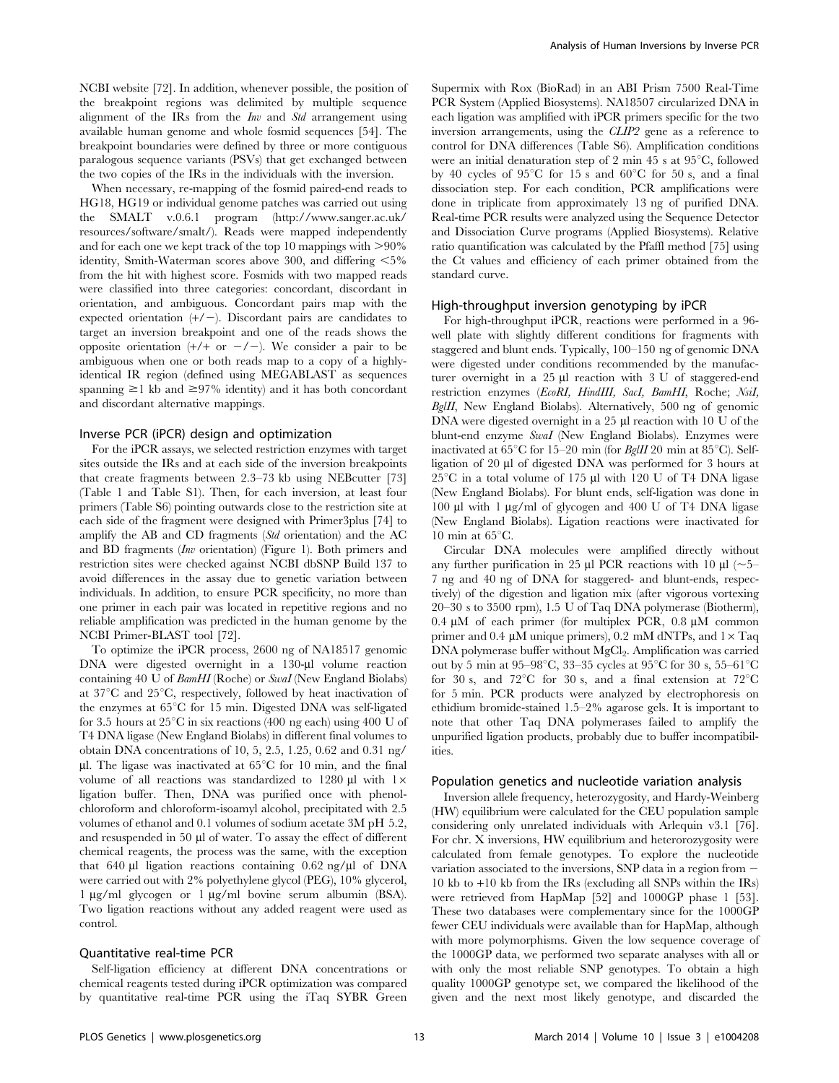NCBI website [72]. In addition, whenever possible, the position of the breakpoint regions was delimited by multiple sequence alignment of the IRs from the Inv and Std arrangement using available human genome and whole fosmid sequences [54]. The breakpoint boundaries were defined by three or more contiguous paralogous sequence variants (PSVs) that get exchanged between the two copies of the IRs in the individuals with the inversion.

When necessary, re-mapping of the fosmid paired-end reads to HG18, HG19 or individual genome patches was carried out using the SMALT v.0.6.1 program [\(http://www.sanger.ac.uk/](http://www.sanger.ac.uk/resources/software/smalt/) [resources/software/smalt/\)](http://www.sanger.ac.uk/resources/software/smalt/). Reads were mapped independently and for each one we kept track of the top 10 mappings with  $>90\%$ identity, Smith-Waterman scores above 300, and differing  $\leq 5\%$ from the hit with highest score. Fosmids with two mapped reads were classified into three categories: concordant, discordant in orientation, and ambiguous. Concordant pairs map with the expected orientation  $(+/-)$ . Discordant pairs are candidates to target an inversion breakpoint and one of the reads shows the opposite orientation  $(+/+ or -/-)$ . We consider a pair to be ambiguous when one or both reads map to a copy of a highlyidentical IR region (defined using MEGABLAST as sequences spanning  $\geq$ 1 kb and  $\geq$ 97% identity) and it has both concordant and discordant alternative mappings.

## Inverse PCR (iPCR) design and optimization

For the iPCR assays, we selected restriction enzymes with target sites outside the IRs and at each side of the inversion breakpoints that create fragments between 2.3–73 kb using NEBcutter [73] (Table 1 and Table S1). Then, for each inversion, at least four primers (Table S6) pointing outwards close to the restriction site at each side of the fragment were designed with Primer3plus [74] to amplify the AB and CD fragments (Std orientation) and the AC and BD fragments (Inv orientation) (Figure 1). Both primers and restriction sites were checked against NCBI dbSNP Build 137 to avoid differences in the assay due to genetic variation between individuals. In addition, to ensure PCR specificity, no more than one primer in each pair was located in repetitive regions and no reliable amplification was predicted in the human genome by the NCBI Primer-BLAST tool [72].

To optimize the iPCR process, 2600 ng of NA18517 genomic DNA were digested overnight in a 130-µl volume reaction containing 40 U of BamHI (Roche) or SwaI (New England Biolabs) at  $37^{\circ}$ C and  $25^{\circ}$ C, respectively, followed by heat inactivation of the enzymes at  $65^{\circ}$ C for 15 min. Digested DNA was self-ligated for 3.5 hours at  $25^{\circ}$ C in six reactions (400 ng each) using 400 U of T4 DNA ligase (New England Biolabs) in different final volumes to obtain DNA concentrations of 10, 5, 2.5, 1.25, 0.62 and 0.31 ng/ ul. The ligase was inactivated at  $65^{\circ}$ C for 10 min, and the final volume of all reactions was standardized to 1280  $\mu$ l with 1 $\times$ ligation buffer. Then, DNA was purified once with phenolchloroform and chloroform-isoamyl alcohol, precipitated with 2.5 volumes of ethanol and 0.1 volumes of sodium acetate 3M pH 5.2, and resuspended in  $50 \mu l$  of water. To assay the effect of different chemical reagents, the process was the same, with the exception that 640  $\mu$ l ligation reactions containing 0.62 ng/ $\mu$ l of DNA were carried out with 2% polyethylene glycol (PEG), 10% glycerol, 1 mg/ml glycogen or 1 mg/ml bovine serum albumin (BSA). Two ligation reactions without any added reagent were used as control.

#### Quantitative real-time PCR

Self-ligation efficiency at different DNA concentrations or chemical reagents tested during iPCR optimization was compared by quantitative real-time PCR using the iTaq SYBR Green Supermix with Rox (BioRad) in an ABI Prism 7500 Real-Time PCR System (Applied Biosystems). NA18507 circularized DNA in each ligation was amplified with iPCR primers specific for the two inversion arrangements, using the CLIP2 gene as a reference to control for DNA differences (Table S6). Amplification conditions were an initial denaturation step of 2 min 45 s at  $95^{\circ}$ C, followed by 40 cycles of 95 $\degree$ C for 15 s and 60 $\degree$ C for 50 s, and a final dissociation step. For each condition, PCR amplifications were done in triplicate from approximately 13 ng of purified DNA. Real-time PCR results were analyzed using the Sequence Detector and Dissociation Curve programs (Applied Biosystems). Relative ratio quantification was calculated by the Pfaffl method [75] using the Ct values and efficiency of each primer obtained from the standard curve.

#### High-throughput inversion genotyping by iPCR

For high-throughput iPCR, reactions were performed in a 96 well plate with slightly different conditions for fragments with staggered and blunt ends. Typically, 100–150 ng of genomic DNA were digested under conditions recommended by the manufacturer overnight in a  $25 \mu l$  reaction with  $3 \text{ U}$  of staggered-end restriction enzymes (EcoRI, HindIII, SacI, BamHI, Roche; NsiI, BglII, New England Biolabs). Alternatively, 500 ng of genomic DNA were digested overnight in a  $25 \mu$  reaction with 10 U of the blunt-end enzyme SwaI (New England Biolabs). Enzymes were inactivated at  $65^{\circ}$ C for 15–20 min (for *BglII* 20 min at  $85^{\circ}$ C). Selfligation of 20 µl of digested DNA was performed for 3 hours at  $25^{\circ}$ C in a total volume of 175 µl with 120 U of T4 DNA ligase (New England Biolabs). For blunt ends, self-ligation was done in 100  $\mu$ l with 1  $\mu$ g/ml of glycogen and 400 U of T4 DNA ligase (New England Biolabs). Ligation reactions were inactivated for 10 min at  $65^{\circ}$ C.

Circular DNA molecules were amplified directly without any further purification in 25  $\mu$ l PCR reactions with 10  $\mu$ l (~5– 7 ng and 40 ng of DNA for staggered- and blunt-ends, respectively) of the digestion and ligation mix (after vigorous vortexing 20–30 s to 3500 rpm), 1.5 U of Taq DNA polymerase (Biotherm), 0.4  $\mu$ M of each primer (for multiplex PCR, 0.8  $\mu$ M common primer and 0.4  $\mu$ M unique primers), 0.2 mM dNTPs, and 1  $\times$  Taq DNA polymerase buffer without MgCl<sub>2</sub>. Amplification was carried out by 5 min at  $95-98^{\circ}$ C,  $33-35$  cycles at  $95^{\circ}$ C for  $30$  s,  $55-61^{\circ}$ C for 30 s, and 72°C for 30 s, and a final extension at 72°C for 5 min. PCR products were analyzed by electrophoresis on ethidium bromide-stained 1.5–2% agarose gels. It is important to note that other Taq DNA polymerases failed to amplify the unpurified ligation products, probably due to buffer incompatibilities.

#### Population genetics and nucleotide variation analysis

Inversion allele frequency, heterozygosity, and Hardy-Weinberg (HW) equilibrium were calculated for the CEU population sample considering only unrelated individuals with Arlequin v3.1 [76]. For chr. X inversions, HW equilibrium and heterorozygosity were calculated from female genotypes. To explore the nucleotide variation associated to the inversions, SNP data in a region from  $-$ 10 kb to +10 kb from the IRs (excluding all SNPs within the IRs) were retrieved from HapMap [52] and 1000GP phase 1 [53]. These two databases were complementary since for the 1000GP fewer CEU individuals were available than for HapMap, although with more polymorphisms. Given the low sequence coverage of the 1000GP data, we performed two separate analyses with all or with only the most reliable SNP genotypes. To obtain a high quality 1000GP genotype set, we compared the likelihood of the given and the next most likely genotype, and discarded the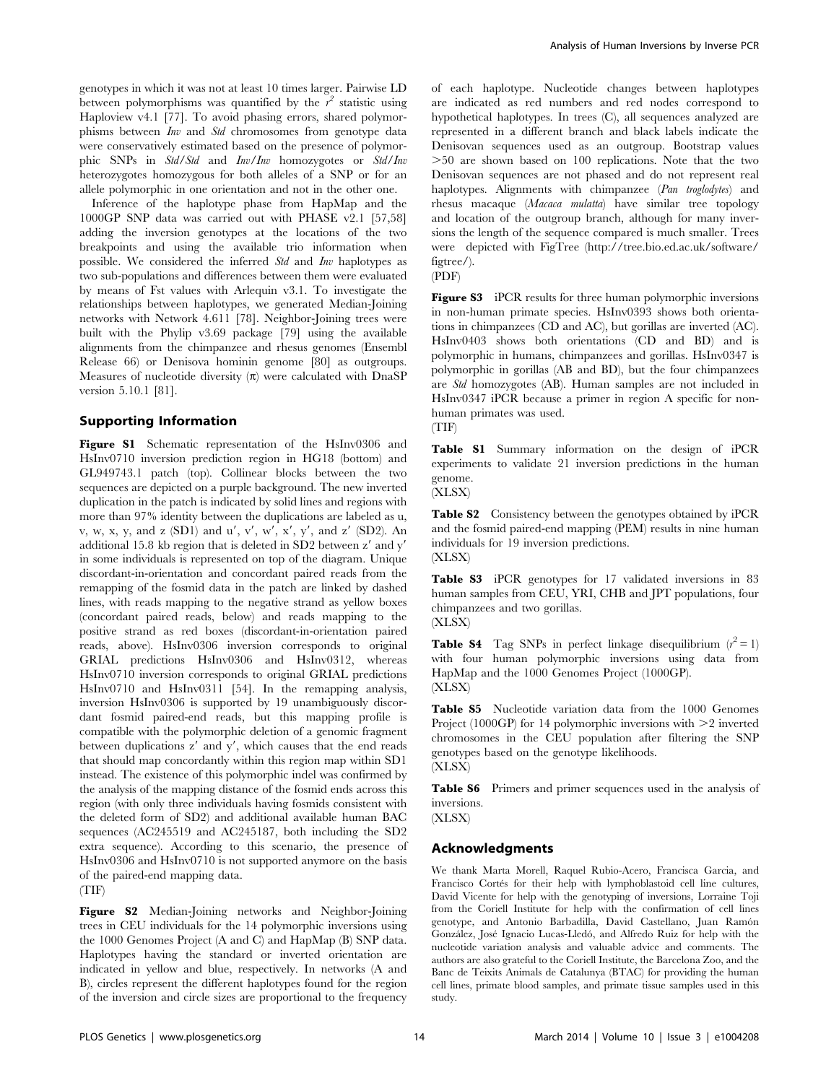genotypes in which it was not at least 10 times larger. Pairwise LD between polymorphisms was quantified by the  $r^2$  statistic using Haploview v4.1 [77]. To avoid phasing errors, shared polymorphisms between Inv and Std chromosomes from genotype data were conservatively estimated based on the presence of polymorphic SNPs in Std/Std and Inv/Inv homozygotes or Std/Inv heterozygotes homozygous for both alleles of a SNP or for an allele polymorphic in one orientation and not in the other one.

Inference of the haplotype phase from HapMap and the 1000GP SNP data was carried out with PHASE v2.1 [57,58] adding the inversion genotypes at the locations of the two breakpoints and using the available trio information when possible. We considered the inferred Std and Inv haplotypes as two sub-populations and differences between them were evaluated by means of Fst values with Arlequin v3.1. To investigate the relationships between haplotypes, we generated Median-Joining networks with Network 4.611 [78]. Neighbor-Joining trees were built with the Phylip v3.69 package [79] using the available alignments from the chimpanzee and rhesus genomes (Ensembl Release 66) or Denisova hominin genome [80] as outgroups. Measures of nucleotide diversity  $(\pi)$  were calculated with DnaSP version 5.10.1 [81].

## Supporting Information

Figure S1 Schematic representation of the HsInv0306 and HsInv0710 inversion prediction region in HG18 (bottom) and GL949743.1 patch (top). Collinear blocks between the two sequences are depicted on a purple background. The new inverted duplication in the patch is indicated by solid lines and regions with more than 97% identity between the duplications are labeled as u, v, w, x, y, and z  $(SD1)$  and u', v', w', x', y', and z'  $(SD2)$ . An additional 15.8 kb region that is deleted in SD2 between  $z'$  and  $y'$ in some individuals is represented on top of the diagram. Unique discordant-in-orientation and concordant paired reads from the remapping of the fosmid data in the patch are linked by dashed lines, with reads mapping to the negative strand as yellow boxes (concordant paired reads, below) and reads mapping to the positive strand as red boxes (discordant-in-orientation paired reads, above). HsInv0306 inversion corresponds to original GRIAL predictions HsInv0306 and HsInv0312, whereas HsInv0710 inversion corresponds to original GRIAL predictions HsInv0710 and HsInv0311 [54]. In the remapping analysis, inversion HsInv0306 is supported by 19 unambiguously discordant fosmid paired-end reads, but this mapping profile is compatible with the polymorphic deletion of a genomic fragment between duplications z' and y', which causes that the end reads that should map concordantly within this region map within SD1 instead. The existence of this polymorphic indel was confirmed by the analysis of the mapping distance of the fosmid ends across this region (with only three individuals having fosmids consistent with the deleted form of SD2) and additional available human BAC sequences (AC245519 and AC245187, both including the SD2 extra sequence). According to this scenario, the presence of HsInv0306 and HsInv0710 is not supported anymore on the basis of the paired-end mapping data. (TIF)

Figure S2 Median-Joining networks and Neighbor-Joining trees in CEU individuals for the 14 polymorphic inversions using the 1000 Genomes Project (A and C) and HapMap (B) SNP data. Haplotypes having the standard or inverted orientation are indicated in yellow and blue, respectively. In networks (A and B), circles represent the different haplotypes found for the region of the inversion and circle sizes are proportional to the frequency

of each haplotype. Nucleotide changes between haplotypes are indicated as red numbers and red nodes correspond to hypothetical haplotypes. In trees (C), all sequences analyzed are represented in a different branch and black labels indicate the Denisovan sequences used as an outgroup. Bootstrap values .50 are shown based on 100 replications. Note that the two Denisovan sequences are not phased and do not represent real haplotypes. Alignments with chimpanzee (Pan troglodytes) and rhesus macaque (Macaca mulatta) have similar tree topology and location of the outgroup branch, although for many inversions the length of the sequence compared is much smaller. Trees were depicted with FigTree [\(http://tree.bio.ed.ac.uk/software/](http://tree.bio.ed.ac.uk/software/figtree/) [figtree/](http://tree.bio.ed.ac.uk/software/figtree/)).



Figure S3 iPCR results for three human polymorphic inversions in non-human primate species. HsInv0393 shows both orientations in chimpanzees (CD and AC), but gorillas are inverted (AC). HsInv0403 shows both orientations (CD and BD) and is polymorphic in humans, chimpanzees and gorillas. HsInv0347 is polymorphic in gorillas (AB and BD), but the four chimpanzees are Std homozygotes (AB). Human samples are not included in HsInv0347 iPCR because a primer in region A specific for nonhuman primates was used.

(TIF)

Table S1 Summary information on the design of iPCR experiments to validate 21 inversion predictions in the human genome.

(XLSX)

Table S2 Consistency between the genotypes obtained by iPCR and the fosmid paired-end mapping (PEM) results in nine human individuals for 19 inversion predictions. (XLSX)

Table S3 iPCR genotypes for 17 validated inversions in 83 human samples from CEU, YRI, CHB and JPT populations, four chimpanzees and two gorillas. (XLSX)

**Table S4** Tag SNPs in perfect linkage disequilibrium  $(r^2 = 1)$ with four human polymorphic inversions using data from HapMap and the 1000 Genomes Project (1000GP). (XLSX)

Table S5 Nucleotide variation data from the 1000 Genomes Project (1000GP) for 14 polymorphic inversions with  $\geq$  2 inverted chromosomes in the CEU population after filtering the SNP genotypes based on the genotype likelihoods. (XLSX)

Table S6 Primers and primer sequences used in the analysis of inversions.

(XLSX)

## Acknowledgments

We thank Marta Morell, Raquel Rubio-Acero, Francisca Garcia, and Francisco Cortés for their help with lymphoblastoid cell line cultures, David Vicente for help with the genotyping of inversions, Lorraine Toji from the Coriell Institute for help with the confirmation of cell lines genotype, and Antonio Barbadilla, David Castellano, Juan Ramón González, José Ignacio Lucas-Lledó, and Alfredo Ruiz for help with the nucleotide variation analysis and valuable advice and comments. The authors are also grateful to the Coriell Institute, the Barcelona Zoo, and the Banc de Teixits Animals de Catalunya (BTAC) for providing the human cell lines, primate blood samples, and primate tissue samples used in this study.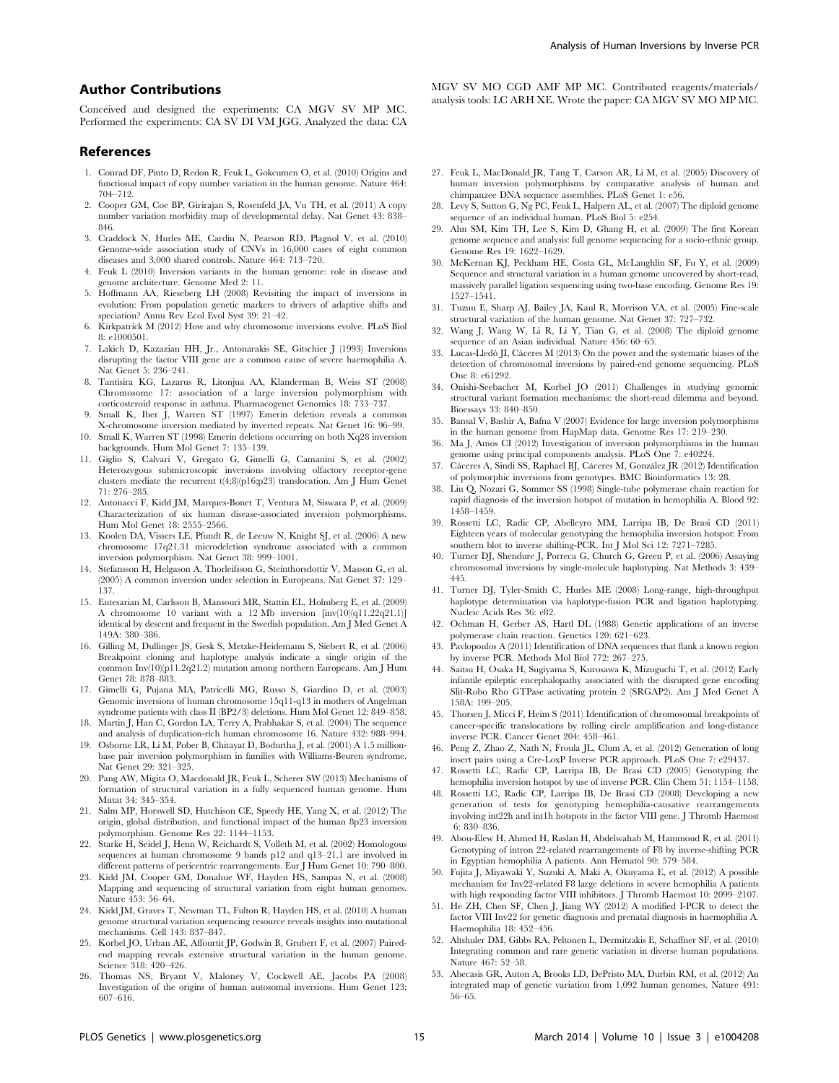Conceived and designed the experiments: CA MGV SV MP MC. Performed the experiments: CA SV DI VM JGG. Analyzed the data: CA

#### References

- 1. Conrad DF, Pinto D, Redon R, Feuk L, Gokcumen O, et al. (2010) Origins and functional impact of copy number variation in the human genome. Nature 464: 704–712.
- 2. Cooper GM, Coe BP, Girirajan S, Rosenfeld JA, Vu TH, et al. (2011) A copy number variation morbidity map of developmental delay. Nat Genet 43: 838– 846.
- 3. Craddock N, Hurles ME, Cardin N, Pearson RD, Plagnol V, et al. (2010) Genome-wide association study of CNVs in 16,000 cases of eight common diseases and 3,000 shared controls. Nature 464: 713–720.
- 4. Feuk L (2010) Inversion variants in the human genome: role in disease and genome architecture. Genome Med 2: 11.
- 5. Hoffmann AA, Rieseberg LH (2008) Revisiting the impact of inversions in evolution: From population genetic markers to drivers of adaptive shifts and speciation? Annu Rev Ecol Evol Syst 39: 21-42.
- 6. Kirkpatrick M (2012) How and why chromosome inversions evolve. PLoS Biol 8: e1000501.
- 7. Lakich D, Kazazian HH, Jr., Antonarakis SE, Gitschier J (1993) Inversions disrupting the factor VIII gene are a common cause of severe haemophilia A. Nat Genet 5: 236–241.
- 8. Tantisira KG, Lazarus R, Litonjua AA, Klanderman B, Weiss ST (2008) Chromosome 17: association of a large inversion polymorphism with corticosteroid response in asthma. Pharmacogenet Genomics 18: 733–737.
- 9. Small K, Iber J, Warren ST (1997) Emerin deletion reveals a common X-chromosome inversion mediated by inverted repeats. Nat Genet 16: 96–99.
- 10. Small K, Warren ST (1998) Emerin deletions occurring on both Xq28 inversion backgrounds. Hum Mol Genet 7: 135–139.
- 11. Giglio S, Calvari V, Gregato G, Gimelli G, Camanini S, et al. (2002) Heterozygous submicroscopic inversions involving olfactory receptor-gene clusters mediate the recurrent t(4;8)(p16;p23) translocation. Am J Hum Genet 71: 276–285.
- 12. Antonacci F, Kidd JM, Marques-Bonet T, Ventura M, Siswara P, et al. (2009) Characterization of six human disease-associated inversion polymorphisms. Hum Mol Genet 18: 2555–2566.
- 13. Koolen DA, Vissers LE, Pfundt R, de Leeuw N, Knight SJ, et al. (2006) A new chromosome 17q21.31 microdeletion syndrome associated with a common inversion polymorphism. Nat Genet 38: 999–1001.
- 14. Stefansson H, Helgason A, Thorleifsson G, Steinthorsdottir V, Masson G, et al. (2005) A common inversion under selection in Europeans. Nat Genet 37: 129– 137.
- 15. Entesarian M, Carlsson B, Mansouri MR, Stattin EL, Holmberg E, et al. (2009) A chromosome 10 variant with a 12 Mb inversion [inv(10)(q11.22q21.1)] identical by descent and frequent in the Swedish population. Am J Med Genet A 149A: 380–386.
- 16. Gilling M, Dullinger JS, Gesk S, Metzke-Heidemann S, Siebert R, et al. (2006) Breakpoint cloning and haplotype analysis indicate a single origin of the common Inv(10)(p11.2q21.2) mutation among northern Europeans. Am J Hum Genet 78: 878–883.
- 17. Gimelli G, Pujana MA, Patricelli MG, Russo S, Giardino D, et al. (2003) Genomic inversions of human chromosome 15q11-q13 in mothers of Angelman syndrome patients with class II (BP2/3) deletions. Hum Mol Genet 12: 849-858.
- 18. Martin J, Han C, Gordon LA, Terry A, Prabhakar S, et al. (2004) The sequence and analysis of duplication-rich human chromosome 16. Nature 432: 988–994.
- 19. Osborne LR, Li M, Pober B, Chitayat D, Bodurtha J, et al. (2001) A 1.5 millionbase pair inversion polymorphism in families with Williams-Beuren syndrome. Nat Genet 29: 321–325.
- 20. Pang AW, Migita O, Macdonald JR, Feuk L, Scherer SW (2013) Mechanisms of formation of structural variation in a fully sequenced human genome. Hum Mutat 34: 345–354.
- 21. Salm MP, Horswell SD, Hutchison CE, Speedy HE, Yang X, et al. (2012) The origin, global distribution, and functional impact of the human 8p23 inversion polymorphism. Genome Res 22: 1144–1153.
- 22. Starke H, Seidel J, Henn W, Reichardt S, Volleth M, et al. (2002) Homologous sequences at human chromosome 9 bands p12 and q13–21.1 are involved in different patterns of pericentric rearrangements. Eur J Hum Genet 10: 790–800.
- 23. Kidd JM, Cooper GM, Donahue WF, Hayden HS, Sampas N, et al. (2008) Mapping and sequencing of structural variation from eight human genomes. Nature 453: 56–64.
- 24. Kidd JM, Graves T, Newman TL, Fulton R, Hayden HS, et al. (2010) A human genome structural variation sequencing resource reveals insights into mutational mechanisms. Cell 143: 837–847.
- 25. Korbel JO, Urban AE, Affourtit JP, Godwin B, Grubert F, et al. (2007) Pairedend mapping reveals extensive structural variation in the human genome. Science 318: 420–426.
- 26. Thomas NS, Bryant V, Maloney V, Cockwell AE, Jacobs PA (2008) Investigation of the origins of human autosomal inversions. Hum Genet 123: 607–616.

MGV SV MO CGD AMF MP MC. Contributed reagents/materials/ analysis tools: LC ARH XE. Wrote the paper: CA MGV SV MO MP MC.

- 27. Feuk L, MacDonald JR, Tang T, Carson AR, Li M, et al. (2005) Discovery of human inversion polymorphisms by comparative analysis of human and chimpanzee DNA sequence assemblies. PLoS Genet 1: e56.
- 28. Levy S, Sutton G, Ng PC, Feuk L, Halpern AL, et al. (2007) The diploid genome sequence of an individual human. PLoS Biol 5: e254.
- 29. Ahn SM, Kim TH, Lee S, Kim D, Ghang H, et al. (2009) The first Korean genome sequence and analysis: full genome sequencing for a socio-ethnic group. Genome Res 19: 1622–1629.
- 30. McKernan KJ, Peckham HE, Costa GL, McLaughlin SF, Fu Y, et al. (2009) Sequence and structural variation in a human genome uncovered by short-read, massively parallel ligation sequencing using two-base encoding. Genome Res 19: 1527–1541.
- 31. Tuzun E, Sharp AJ, Bailey JA, Kaul R, Morrison VA, et al. (2005) Fine-scale structural variation of the human genome. Nat Genet 37: 727–732.
- 32. Wang J, Wang W, Li R, Li Y, Tian G, et al. (2008) The diploid genome sequence of an Asian individual. Nature 456: 60–65.
- 33. Lucas-Lledó JI, Cáceres M (2013) On the power and the systematic biases of the detection of chromosomal inversions by paired-end genome sequencing. PLoS One 8: e61292.
- 34. Onishi-Seebacher M, Korbel JO (2011) Challenges in studying genomic structural variant formation mechanisms: the short-read dilemma and beyond. Bioessays 33: 840–850.
- 35. Bansal V, Bashir A, Bafna V (2007) Evidence for large inversion polymorphisms in the human genome from HapMap data. Genome Res 17: 219–230.
- 36. Ma J, Amos CI (2012) Investigation of inversion polymorphisms in the human genome using principal components analysis. PLoS One 7: e40224.
- 37. Cáceres A, Sindi SS, Raphael BJ, Cáceres M, González JR (2012) Identification of polymorphic inversions from genotypes. BMC Bioinformatics 13: 28.
- 38. Liu Q, Nozari G, Sommer SS (1998) Single-tube polymerase chain reaction for rapid diagnosis of the inversion hotspot of mutation in hemophilia A. Blood 92: 1458–1459.
- 39. Rossetti LC, Radic CP, Abelleyro MM, Larripa IB, De Brasi CD (2011) Eighteen years of molecular genotyping the hemophilia inversion hotspot: From southern blot to inverse shifting-PCR. Int J Mol Sci 12: 7271–7285.
- 40. Turner DJ, Shendure J, Porreca G, Church G, Green P, et al. (2006) Assaying chromosomal inversions by single-molecule haplotyping. Nat Methods 3: 439– 445.
- 41. Turner DJ, Tyler-Smith C, Hurles ME (2008) Long-range, high-throughput haplotype determination via haplotype-fusion PCR and ligation haplotyping. Nucleic Acids Res 36: e82.
- 42. Ochman H, Gerber AS, Hartl DL (1988) Genetic applications of an inverse polymerase chain reaction. Genetics 120: 621–623.
- 43. Pavlopoulos A (2011) Identification of DNA sequences that flank a known region by inverse PCR. Methods Mol Biol 772: 267–275.
- 44. Saitsu H, Osaka H, Sugiyama S, Kurosawa K, Mizuguchi T, et al. (2012) Early infantile epileptic encephalopathy associated with the disrupted gene encoding Slit-Robo Rho GTPase activating protein 2 (SRGAP2). Am J Med Genet A 158A: 199–205.
- 45. Thorsen J, Micci F, Heim S (2011) Identification of chromosomal breakpoints of cancer-specific translocations by rolling circle amplification and long-distance inverse PCR. Cancer Genet 204: 458–461.
- 46. Peng Z, Zhao Z, Nath N, Froula JL, Clum A, et al. (2012) Generation of long insert pairs using a Cre-LoxP Inverse PCR approach. PLoS One 7: e29437.
- 47. Rossetti LC, Radic CP, Larripa IB, De Brasi CD (2005) Genotyping the hemophilia inversion hotspot by use of inverse PCR. Clin Chem 51: 1154–1158.
- 48. Rossetti LC, Radic CP, Larripa IB, De Brasi CD (2008) Developing a new generation of tests for genotyping hemophilia-causative rearrangements involving int22h and int1h hotspots in the factor VIII gene. J Thromb Haemost 6: 830–836.
- 49. Abou-Elew H, Ahmed H, Raslan H, Abdelwahab M, Hammoud R, et al. (2011) Genotyping of intron 22-related rearrangements of F8 by inverse-shifting PCR in Egyptian hemophilia A patients. Ann Hematol 90: 579–584.
- 50. Fujita J, Miyawaki Y, Suzuki A, Maki A, Okuyama E, et al. (2012) A possible mechanism for Inv22-related F8 large deletions in severe hemophilia A patients with high responding factor VIII inhibitors. J Thromb Haemost 10: 2099–2107.
- 51. He ZH, Chen SF, Chen J, Jiang WY (2012) A modified I-PCR to detect the factor VIII Inv22 for genetic diagnosis and prenatal diagnosis in haemophilia A. Haemophilia 18: 452–456.
- 52. Altshuler DM, Gibbs RA, Peltonen L, Dermitzakis E, Schaffner SF, et al. (2010) Integrating common and rare genetic variation in diverse human populations. Nature 467: 52–58.
- 53. Abecasis GR, Auton A, Brooks LD, DePristo MA, Durbin RM, et al. (2012) An integrated map of genetic variation from 1,092 human genomes. Nature 491: 56–65.